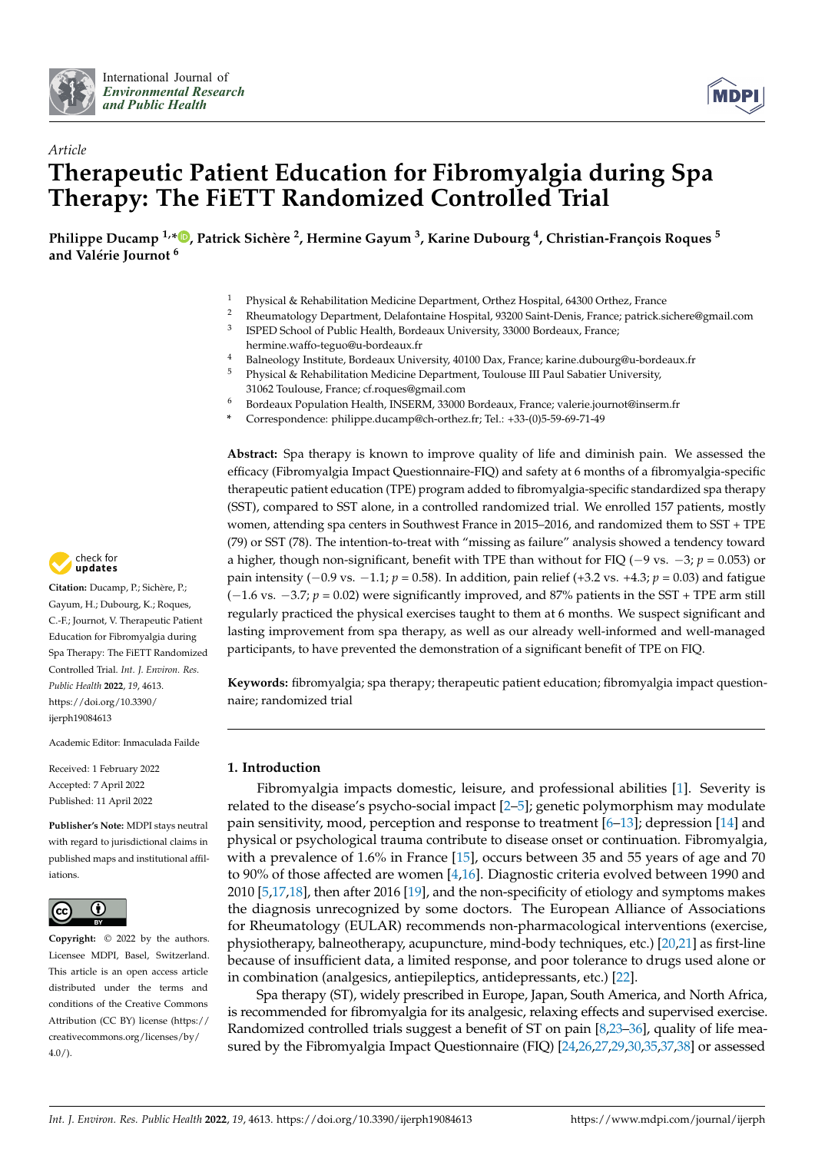



# *Article* **Therapeutic Patient Education for Fibromyalgia during Spa Therapy: The FiETT Randomized Controlled Trial**

**Philippe Ducamp 1,\* [,](https://orcid.org/0000-0002-4719-5277) Patrick Sichère <sup>2</sup> , Hermine Gayum <sup>3</sup> , Karine Dubourg <sup>4</sup> , Christian-François Roques <sup>5</sup> and Valérie Journot <sup>6</sup>**

- <sup>1</sup> Physical & Rehabilitation Medicine Department, Orthez Hospital, 64300 Orthez, France
- <sup>2</sup> Rheumatology Department, Delafontaine Hospital, 93200 Saint-Denis, France; patrick.sichere@gmail.com
- 3 ISPED School of Public Health, Bordeaux University, 33000 Bordeaux, France; hermine.waffo-teguo@u-bordeaux.fr
- 4 Balneology Institute, Bordeaux University, 40100 Dax, France; karine.dubourg@u-bordeaux.fr<br>5 Bhysical & Pohobilitation Medicine Department, Toulouse III Paul Sebation University
- Physical & Rehabilitation Medicine Department, Toulouse III Paul Sabatier University,
- 31062 Toulouse, France; cf.roques@gmail.com
- <sup>6</sup> Bordeaux Population Health, INSERM, 33000 Bordeaux, France; valerie.journot@inserm.fr
- **\*** Correspondence: philippe.ducamp@ch-orthez.fr; Tel.: +33-(0)5-59-69-71-49

**Abstract:** Spa therapy is known to improve quality of life and diminish pain. We assessed the efficacy (Fibromyalgia Impact Questionnaire-FIQ) and safety at 6 months of a fibromyalgia-specific therapeutic patient education (TPE) program added to fibromyalgia-specific standardized spa therapy (SST), compared to SST alone, in a controlled randomized trial. We enrolled 157 patients, mostly women, attending spa centers in Southwest France in 2015–2016, and randomized them to SST + TPE (79) or SST (78). The intention-to-treat with "missing as failure" analysis showed a tendency toward a higher, though non-significant, benefit with TPE than without for FIQ (−9 vs. −3; *p* = 0.053) or pain intensity (−0.9 vs. −1.1; *p* = 0.58). In addition, pain relief (+3.2 vs. +4.3; *p* = 0.03) and fatigue (−1.6 vs. −3.7; *p* = 0.02) were significantly improved, and 87% patients in the SST + TPE arm still regularly practiced the physical exercises taught to them at 6 months. We suspect significant and lasting improvement from spa therapy, as well as our already well-informed and well-managed participants, to have prevented the demonstration of a significant benefit of TPE on FIQ.

**Keywords:** fibromyalgia; spa therapy; therapeutic patient education; fibromyalgia impact questionnaire; randomized trial

# **1. Introduction**

Fibromyalgia impacts domestic, leisure, and professional abilities [\[1\]](#page-12-0). Severity is related to the disease's psycho-social impact  $[2-5]$  $[2-5]$ ; genetic polymorphism may modulate pain sensitivity, mood, perception and response to treatment [\[6](#page-13-0)[–13\]](#page-13-1); depression [\[14\]](#page-13-2) and physical or psychological trauma contribute to disease onset or continuation. Fibromyalgia, with a prevalence of 1.6% in France [\[15\]](#page-13-3), occurs between 35 and 55 years of age and 70 to 90% of those affected are women [\[4](#page-12-3)[,16\]](#page-13-4). Diagnostic criteria evolved between 1990 and 2010 [\[5](#page-12-2)[,17](#page-13-5)[,18\]](#page-13-6), then after 2016 [\[19\]](#page-13-7), and the non-specificity of etiology and symptoms makes the diagnosis unrecognized by some doctors. The European Alliance of Associations for Rheumatology (EULAR) recommends non-pharmacological interventions (exercise, physiotherapy, balneotherapy, acupuncture, mind-body techniques, etc.) [\[20,](#page-13-8)[21\]](#page-13-9) as first-line because of insufficient data, a limited response, and poor tolerance to drugs used alone or in combination (analgesics, antiepileptics, antidepressants, etc.) [\[22\]](#page-13-10).

Spa therapy (ST), widely prescribed in Europe, Japan, South America, and North Africa, is recommended for fibromyalgia for its analgesic, relaxing effects and supervised exercise. Randomized controlled trials suggest a benefit of ST on pain [\[8](#page-13-11)[,23–](#page-13-12)[36\]](#page-14-0), quality of life measured by the Fibromyalgia Impact Questionnaire (FIQ) [\[24](#page-13-13)[,26](#page-13-14)[,27](#page-13-15)[,29](#page-13-16)[,30](#page-13-17)[,35](#page-14-1)[,37](#page-14-2)[,38\]](#page-14-3) or assessed



**Citation:** Ducamp, P.; Sichère, P.; Gayum, H.; Dubourg, K.; Roques, C.-F.; Journot, V. Therapeutic Patient Education for Fibromyalgia during Spa Therapy: The FiETT Randomized Controlled Trial. *Int. J. Environ. Res. Public Health* **2022**, *19*, 4613. [https://doi.org/10.3390/](https://doi.org/10.3390/ijerph19084613) [ijerph19084613](https://doi.org/10.3390/ijerph19084613)

Academic Editor: Inmaculada Failde

Received: 1 February 2022 Accepted: 7 April 2022 Published: 11 April 2022

**Publisher's Note:** MDPI stays neutral with regard to jurisdictional claims in published maps and institutional affiliations.



**Copyright:** © 2022 by the authors. Licensee MDPI, Basel, Switzerland. This article is an open access article distributed under the terms and conditions of the Creative Commons Attribution (CC BY) license [\(https://](https://creativecommons.org/licenses/by/4.0/) [creativecommons.org/licenses/by/](https://creativecommons.org/licenses/by/4.0/)  $4.0/$ ).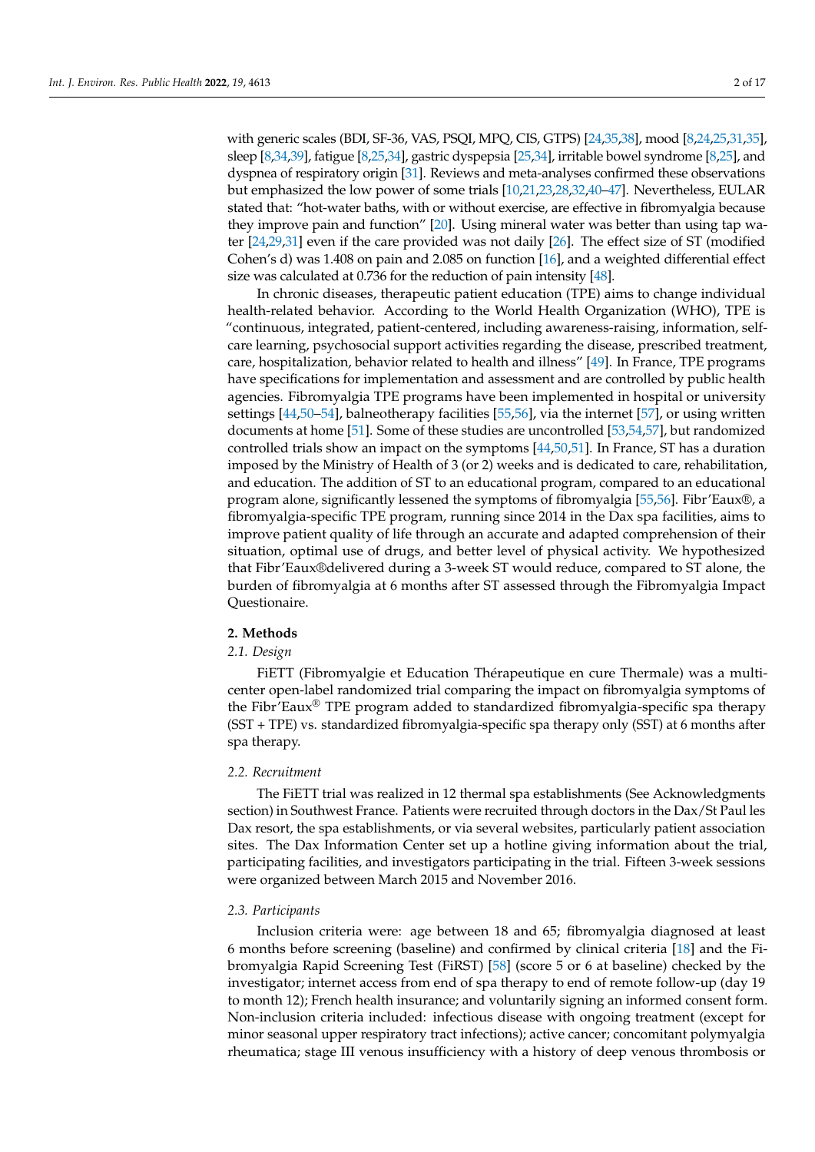with generic scales (BDI, SF-36, VAS, PSQI, MPQ, CIS, GTPS) [\[24,](#page-13-13)[35,](#page-14-1)[38\]](#page-14-3), mood [\[8](#page-13-11)[,24](#page-13-13)[,25](#page-13-18)[,31](#page-13-19)[,35\]](#page-14-1), sleep [\[8](#page-13-11)[,34](#page-14-4)[,39\]](#page-14-5), fatigue [\[8](#page-13-11)[,25](#page-13-18)[,34\]](#page-14-4), gastric dyspepsia [\[25](#page-13-18)[,34\]](#page-14-4), irritable bowel syndrome [\[8](#page-13-11)[,25\]](#page-13-18), and dyspnea of respiratory origin [\[31\]](#page-13-19). Reviews and meta-analyses confirmed these observations but emphasized the low power of some trials [\[10,](#page-13-20)[21,](#page-13-9)[23,](#page-13-12)[28,](#page-13-21)[32,](#page-13-22)[40](#page-14-6)[–47\]](#page-14-7). Nevertheless, EULAR stated that: "hot-water baths, with or without exercise, are effective in fibromyalgia because they improve pain and function" [\[20\]](#page-13-8). Using mineral water was better than using tap water [\[24](#page-13-13)[,29](#page-13-16)[,31\]](#page-13-19) even if the care provided was not daily [\[26\]](#page-13-14). The effect size of ST (modified Cohen's d) was 1.408 on pain and 2.085 on function [\[16\]](#page-13-4), and a weighted differential effect size was calculated at 0.736 for the reduction of pain intensity [\[48\]](#page-14-8).

In chronic diseases, therapeutic patient education (TPE) aims to change individual health-related behavior. According to the World Health Organization (WHO), TPE is "continuous, integrated, patient-centered, including awareness-raising, information, selfcare learning, psychosocial support activities regarding the disease, prescribed treatment, care, hospitalization, behavior related to health and illness" [\[49\]](#page-14-9). In France, TPE programs have specifications for implementation and assessment and are controlled by public health agencies. Fibromyalgia TPE programs have been implemented in hospital or university settings [\[44](#page-14-10)[,50](#page-14-11)[–54\]](#page-14-12), balneotherapy facilities [\[55,](#page-14-13)[56\]](#page-14-14), via the internet [\[57\]](#page-14-15), or using written documents at home [\[51\]](#page-14-16). Some of these studies are uncontrolled [\[53](#page-14-17)[,54](#page-14-12)[,57\]](#page-14-15), but randomized controlled trials show an impact on the symptoms [\[44](#page-14-10)[,50](#page-14-11)[,51\]](#page-14-16). In France, ST has a duration imposed by the Ministry of Health of 3 (or 2) weeks and is dedicated to care, rehabilitation, and education. The addition of ST to an educational program, compared to an educational program alone, significantly lessened the symptoms of fibromyalgia [\[55,](#page-14-13)[56\]](#page-14-14). Fibr'Eaux®, a fibromyalgia-specific TPE program, running since 2014 in the Dax spa facilities, aims to improve patient quality of life through an accurate and adapted comprehension of their situation, optimal use of drugs, and better level of physical activity. We hypothesized that Fibr'Eaux®delivered during a 3-week ST would reduce, compared to ST alone, the burden of fibromyalgia at 6 months after ST assessed through the Fibromyalgia Impact Questionaire.

# **2. Methods**

# *2.1. Design*

FiETT (Fibromyalgie et Education Thérapeutique en cure Thermale) was a multicenter open-label randomized trial comparing the impact on fibromyalgia symptoms of the Fibr'Eaux<sup>®</sup> TPE program added to standardized fibromyalgia-specific spa therapy (SST + TPE) vs. standardized fibromyalgia-specific spa therapy only (SST) at 6 months after spa therapy.

## *2.2. Recruitment*

The FiETT trial was realized in 12 thermal spa establishments (See Acknowledgments section) in Southwest France. Patients were recruited through doctors in the Dax/St Paul les Dax resort, the spa establishments, or via several websites, particularly patient association sites. The Dax Information Center set up a hotline giving information about the trial, participating facilities, and investigators participating in the trial. Fifteen 3-week sessions were organized between March 2015 and November 2016.

## *2.3. Participants*

Inclusion criteria were: age between 18 and 65; fibromyalgia diagnosed at least 6 months before screening (baseline) and confirmed by clinical criteria [\[18\]](#page-13-6) and the Fibromyalgia Rapid Screening Test (FiRST) [\[58\]](#page-14-18) (score 5 or 6 at baseline) checked by the investigator; internet access from end of spa therapy to end of remote follow-up (day 19 to month 12); French health insurance; and voluntarily signing an informed consent form. Non-inclusion criteria included: infectious disease with ongoing treatment (except for minor seasonal upper respiratory tract infections); active cancer; concomitant polymyalgia rheumatica; stage III venous insufficiency with a history of deep venous thrombosis or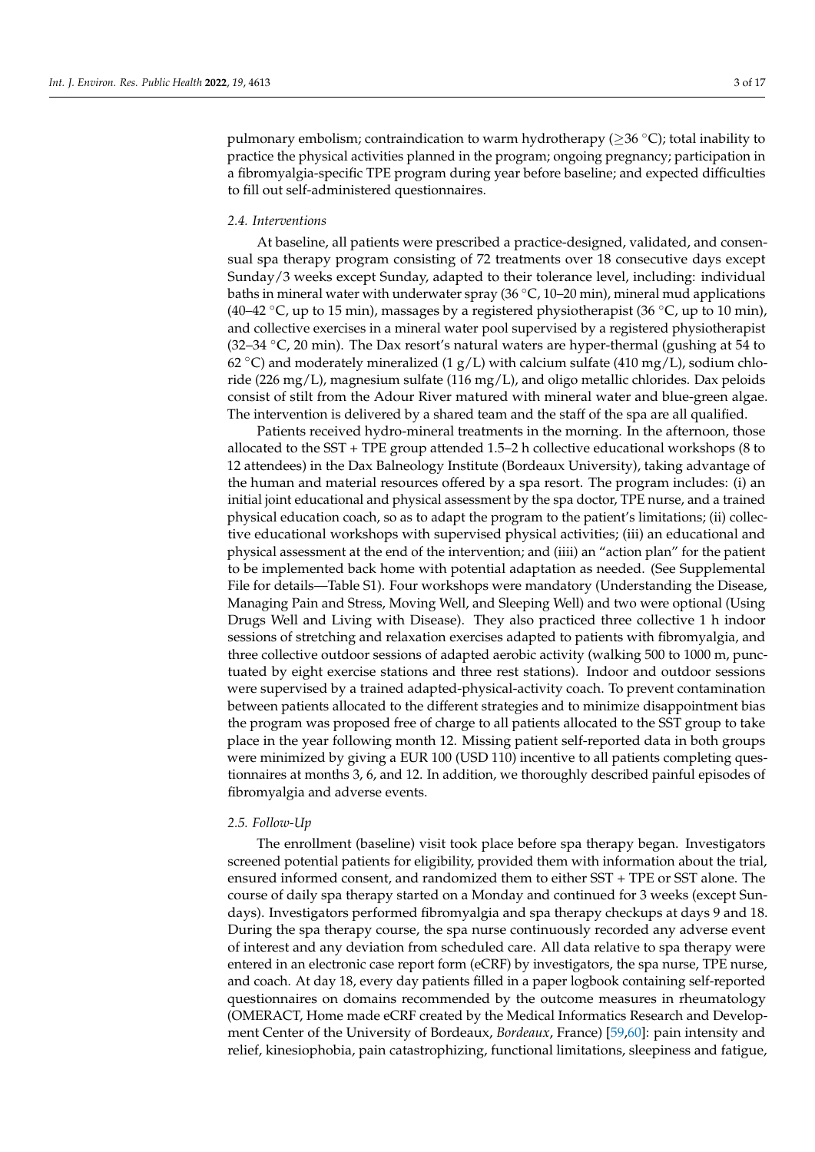pulmonary embolism; contraindication to warm hydrotherapy ( $\geq$ 36 °C); total inability to practice the physical activities planned in the program; ongoing pregnancy; participation in a fibromyalgia-specific TPE program during year before baseline; and expected difficulties to fill out self-administered questionnaires.

#### *2.4. Interventions*

At baseline, all patients were prescribed a practice-designed, validated, and consensual spa therapy program consisting of 72 treatments over 18 consecutive days except Sunday/3 weeks except Sunday, adapted to their tolerance level, including: individual baths in mineral water with underwater spray  $(36\degree\text{C}, 10-20\text{ min})$ , mineral mud applications (40–42  $\degree$ C, up to 15 min), massages by a registered physiotherapist (36  $\degree$ C, up to 10 min), and collective exercises in a mineral water pool supervised by a registered physiotherapist (32–34  $°C$ , 20 min). The Dax resort's natural waters are hyper-thermal (gushing at 54 to 62  $\degree$ C) and moderately mineralized (1 g/L) with calcium sulfate (410 mg/L), sodium chloride (226 mg/L), magnesium sulfate (116 mg/L), and oligo metallic chlorides. Dax peloids consist of stilt from the Adour River matured with mineral water and blue-green algae. The intervention is delivered by a shared team and the staff of the spa are all qualified.

Patients received hydro-mineral treatments in the morning. In the afternoon, those allocated to the SST + TPE group attended 1.5–2 h collective educational workshops (8 to 12 attendees) in the Dax Balneology Institute (Bordeaux University), taking advantage of the human and material resources offered by a spa resort. The program includes: (i) an initial joint educational and physical assessment by the spa doctor, TPE nurse, and a trained physical education coach, so as to adapt the program to the patient's limitations; (ii) collective educational workshops with supervised physical activities; (iii) an educational and physical assessment at the end of the intervention; and (iiii) an "action plan" for the patient to be implemented back home with potential adaptation as needed. (See Supplemental File for details—Table S1). Four workshops were mandatory (Understanding the Disease, Managing Pain and Stress, Moving Well, and Sleeping Well) and two were optional (Using Drugs Well and Living with Disease). They also practiced three collective 1 h indoor sessions of stretching and relaxation exercises adapted to patients with fibromyalgia, and three collective outdoor sessions of adapted aerobic activity (walking 500 to 1000 m, punctuated by eight exercise stations and three rest stations). Indoor and outdoor sessions were supervised by a trained adapted-physical-activity coach. To prevent contamination between patients allocated to the different strategies and to minimize disappointment bias the program was proposed free of charge to all patients allocated to the SST group to take place in the year following month 12. Missing patient self-reported data in both groups were minimized by giving a EUR 100 (USD 110) incentive to all patients completing questionnaires at months 3, 6, and 12. In addition, we thoroughly described painful episodes of fibromyalgia and adverse events.

#### *2.5. Follow-Up*

The enrollment (baseline) visit took place before spa therapy began. Investigators screened potential patients for eligibility, provided them with information about the trial, ensured informed consent, and randomized them to either SST + TPE or SST alone. The course of daily spa therapy started on a Monday and continued for 3 weeks (except Sundays). Investigators performed fibromyalgia and spa therapy checkups at days 9 and 18. During the spa therapy course, the spa nurse continuously recorded any adverse event of interest and any deviation from scheduled care. All data relative to spa therapy were entered in an electronic case report form (eCRF) by investigators, the spa nurse, TPE nurse, and coach. At day 18, every day patients filled in a paper logbook containing self-reported questionnaires on domains recommended by the outcome measures in rheumatology (OMERACT, Home made eCRF created by the Medical Informatics Research and Development Center of the University of Bordeaux, *Bordeaux*, France) [\[59,](#page-15-0)[60\]](#page-15-1): pain intensity and relief, kinesiophobia, pain catastrophizing, functional limitations, sleepiness and fatigue,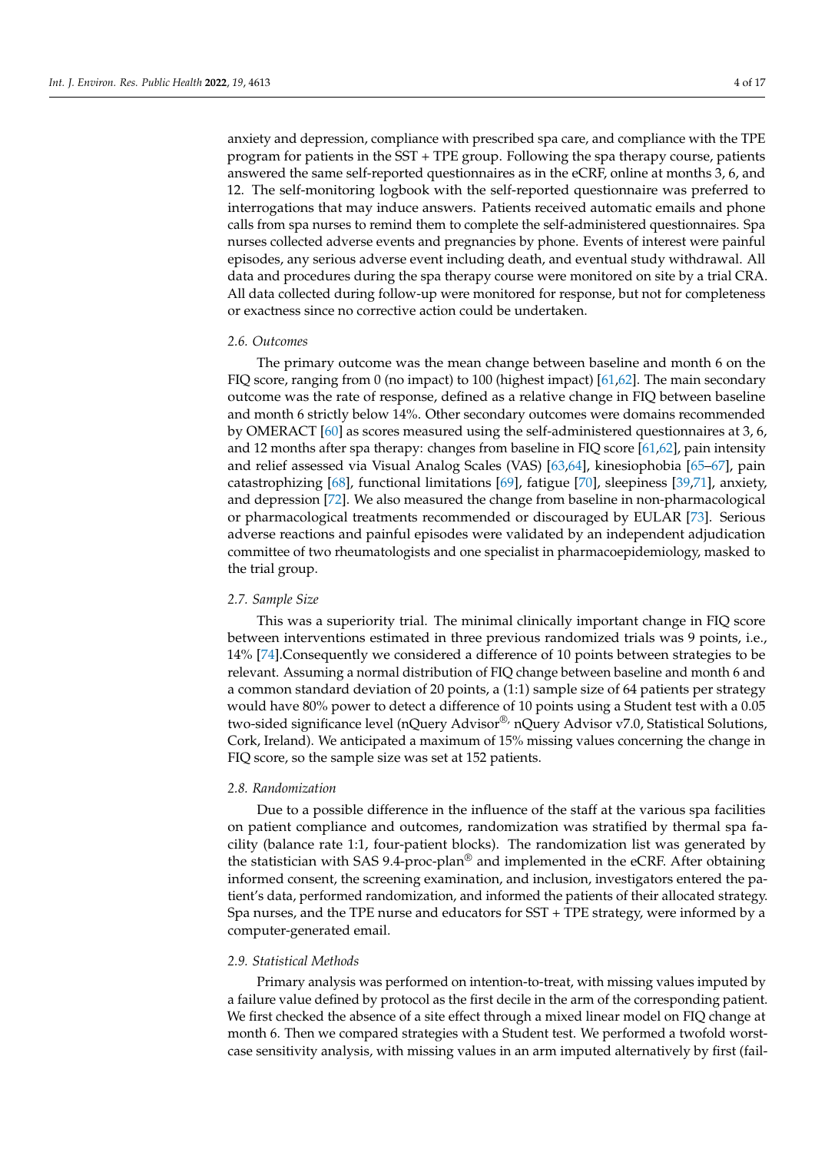anxiety and depression, compliance with prescribed spa care, and compliance with the TPE program for patients in the SST + TPE group. Following the spa therapy course, patients answered the same self-reported questionnaires as in the eCRF, online at months 3, 6, and 12. The self-monitoring logbook with the self-reported questionnaire was preferred to interrogations that may induce answers. Patients received automatic emails and phone calls from spa nurses to remind them to complete the self-administered questionnaires. Spa nurses collected adverse events and pregnancies by phone. Events of interest were painful episodes, any serious adverse event including death, and eventual study withdrawal. All data and procedures during the spa therapy course were monitored on site by a trial CRA. All data collected during follow-up were monitored for response, but not for completeness or exactness since no corrective action could be undertaken.

#### *2.6. Outcomes*

The primary outcome was the mean change between baseline and month 6 on the FIQ score, ranging from 0 (no impact) to 100 (highest impact) [\[61](#page-15-2)[,62\]](#page-15-3). The main secondary outcome was the rate of response, defined as a relative change in FIQ between baseline and month 6 strictly below 14%. Other secondary outcomes were domains recommended by OMERACT [\[60\]](#page-15-1) as scores measured using the self-administered questionnaires at 3, 6, and 12 months after spa therapy: changes from baseline in FIQ score [\[61](#page-15-2)[,62\]](#page-15-3), pain intensity and relief assessed via Visual Analog Scales (VAS) [\[63](#page-15-4)[,64\]](#page-15-5), kinesiophobia [\[65–](#page-15-6)[67\]](#page-15-7), pain catastrophizing [\[68\]](#page-15-8), functional limitations [\[69\]](#page-15-9), fatigue [\[70\]](#page-15-10), sleepiness [\[39,](#page-14-5)[71\]](#page-15-11), anxiety, and depression [\[72\]](#page-15-12). We also measured the change from baseline in non-pharmacological or pharmacological treatments recommended or discouraged by EULAR [\[73\]](#page-15-13). Serious adverse reactions and painful episodes were validated by an independent adjudication committee of two rheumatologists and one specialist in pharmacoepidemiology, masked to the trial group.

## *2.7. Sample Size*

This was a superiority trial. The minimal clinically important change in FIQ score between interventions estimated in three previous randomized trials was 9 points, i.e., 14% [\[74\]](#page-15-14).Consequently we considered a difference of 10 points between strategies to be relevant. Assuming a normal distribution of FIQ change between baseline and month 6 and a common standard deviation of 20 points, a (1:1) sample size of 64 patients per strategy would have 80% power to detect a difference of 10 points using a Student test with a 0.05 two-sided significance level (nQuery Advisor®, nQuery Advisor v7.0, Statistical Solutions, Cork, Ireland). We anticipated a maximum of 15% missing values concerning the change in FIQ score, so the sample size was set at 152 patients.

#### *2.8. Randomization*

Due to a possible difference in the influence of the staff at the various spa facilities on patient compliance and outcomes, randomization was stratified by thermal spa facility (balance rate 1:1, four-patient blocks). The randomization list was generated by the statistician with SAS 9.4-proc-plan® and implemented in the eCRF. After obtaining informed consent, the screening examination, and inclusion, investigators entered the patient's data, performed randomization, and informed the patients of their allocated strategy. Spa nurses, and the TPE nurse and educators for SST + TPE strategy, were informed by a computer-generated email.

## *2.9. Statistical Methods*

Primary analysis was performed on intention-to-treat, with missing values imputed by a failure value defined by protocol as the first decile in the arm of the corresponding patient. We first checked the absence of a site effect through a mixed linear model on FIQ change at month 6. Then we compared strategies with a Student test. We performed a twofold worstcase sensitivity analysis, with missing values in an arm imputed alternatively by first (fail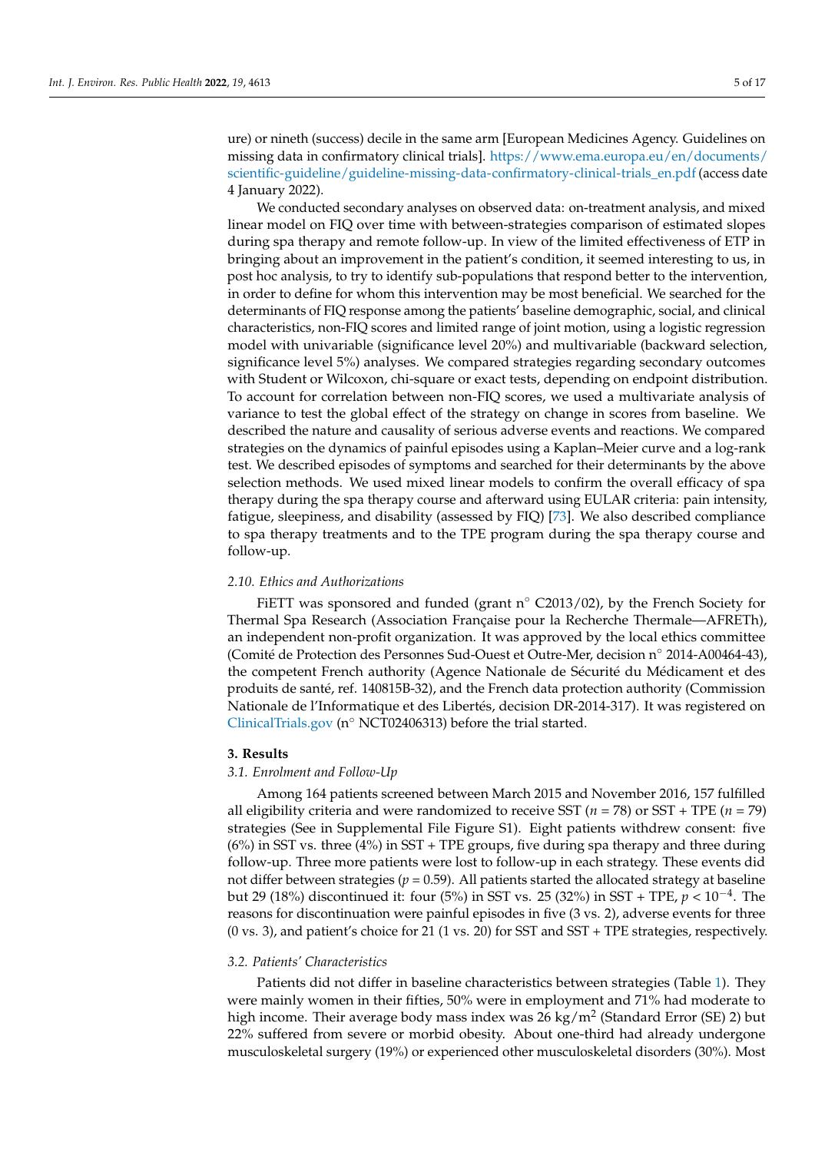ure) or nineth (success) decile in the same arm [European Medicines Agency. Guidelines on missing data in confirmatory clinical trials]. [https://www.ema.europa.eu/en/documents/](https://www.ema.europa.eu/en/documents/scientific-guideline/guideline-missing-data-confirmatory-clinical-trials_en.pdf) [scientific-guideline/guideline-missing-data-confirmatory-clinical-trials\\_en.pdf](https://www.ema.europa.eu/en/documents/scientific-guideline/guideline-missing-data-confirmatory-clinical-trials_en.pdf) (access date 4 January 2022).

We conducted secondary analyses on observed data: on-treatment analysis, and mixed linear model on FIQ over time with between-strategies comparison of estimated slopes during spa therapy and remote follow-up. In view of the limited effectiveness of ETP in bringing about an improvement in the patient's condition, it seemed interesting to us, in post hoc analysis, to try to identify sub-populations that respond better to the intervention, in order to define for whom this intervention may be most beneficial. We searched for the determinants of FIQ response among the patients' baseline demographic, social, and clinical characteristics, non-FIQ scores and limited range of joint motion, using a logistic regression model with univariable (significance level 20%) and multivariable (backward selection, significance level 5%) analyses. We compared strategies regarding secondary outcomes with Student or Wilcoxon, chi-square or exact tests, depending on endpoint distribution. To account for correlation between non-FIQ scores, we used a multivariate analysis of variance to test the global effect of the strategy on change in scores from baseline. We described the nature and causality of serious adverse events and reactions. We compared strategies on the dynamics of painful episodes using a Kaplan–Meier curve and a log-rank test. We described episodes of symptoms and searched for their determinants by the above selection methods. We used mixed linear models to confirm the overall efficacy of spa therapy during the spa therapy course and afterward using EULAR criteria: pain intensity, fatigue, sleepiness, and disability (assessed by FIQ) [\[73\]](#page-15-13). We also described compliance to spa therapy treatments and to the TPE program during the spa therapy course and follow-up.

#### *2.10. Ethics and Authorizations*

FiETT was sponsored and funded (grant n◦ C2013/02), by the French Society for Thermal Spa Research (Association Française pour la Recherche Thermale—AFRETh), an independent non-profit organization. It was approved by the local ethics committee (Comité de Protection des Personnes Sud-Ouest et Outre-Mer, decision n◦ 2014-A00464-43), the competent French authority (Agence Nationale de Sécurité du Médicament et des produits de santé, ref. 140815B-32), and the French data protection authority (Commission Nationale de l'Informatique et des Libertés, decision DR-2014-317). It was registered on <ClinicalTrials.gov> (n◦ NCT02406313) before the trial started.

# **3. Results**

# *3.1. Enrolment and Follow-Up*

Among 164 patients screened between March 2015 and November 2016, 157 fulfilled all eligibility criteria and were randomized to receive SST (*n* = 78) or SST + TPE (*n* = 79) strategies (See in Supplemental File Figure S1). Eight patients withdrew consent: five (6%) in SST vs. three (4%) in SST + TPE groups, five during spa therapy and three during follow-up. Three more patients were lost to follow-up in each strategy. These events did not differ between strategies ( $p = 0.59$ ). All patients started the allocated strategy at baseline but 29 (18%) discontinued it: four (5%) in SST vs. 25 (32%) in SST + TPE, *p* < 10−<sup>4</sup> . The reasons for discontinuation were painful episodes in five (3 vs. 2), adverse events for three (0 vs. 3), and patient's choice for 21 (1 vs. 20) for SST and SST + TPE strategies, respectively.

#### *3.2. Patients' Characteristics*

Patients did not differ in baseline characteristics between strategies (Table [1\)](#page-6-0). They were mainly women in their fifties, 50% were in employment and 71% had moderate to high income. Their average body mass index was 26 kg/m<sup>2</sup> (Standard Error (SE) 2) but 22% suffered from severe or morbid obesity. About one-third had already undergone musculoskeletal surgery (19%) or experienced other musculoskeletal disorders (30%). Most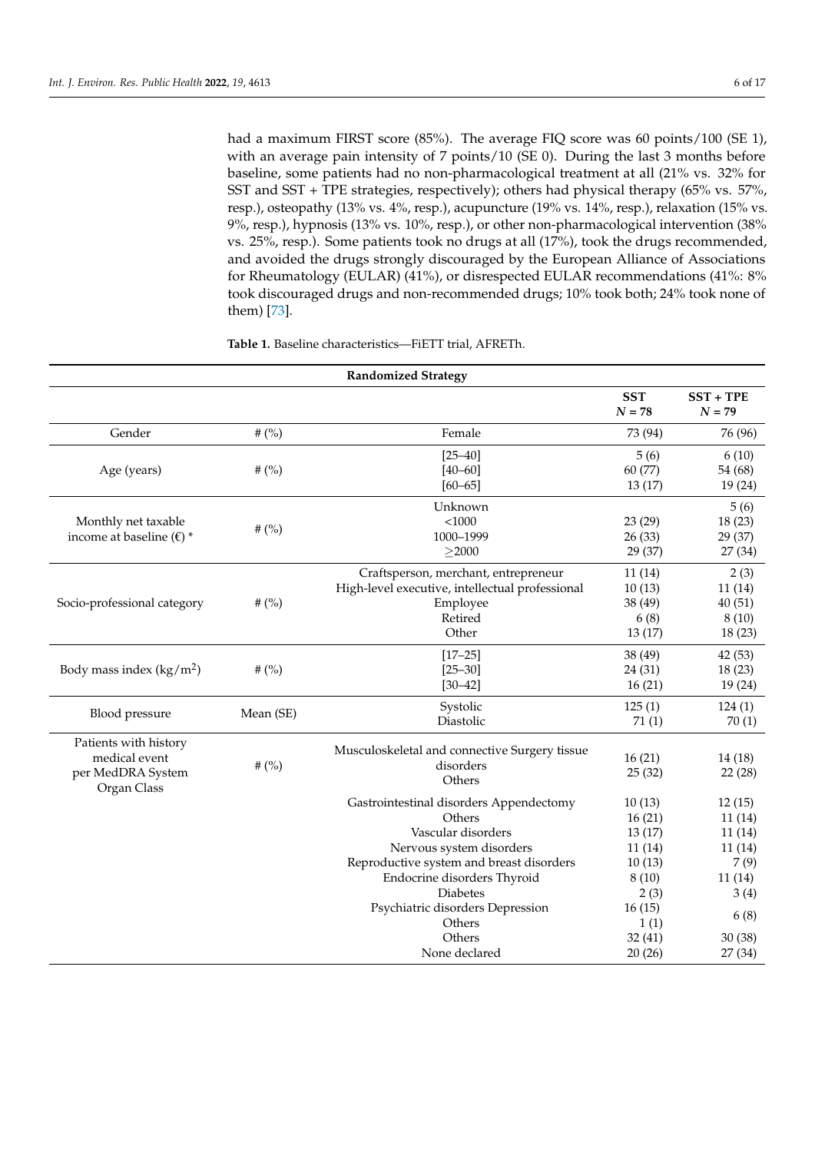had a maximum FIRST score (85%). The average FIQ score was 60 points/100 (SE 1), with an average pain intensity of 7 points/10 (SE 0). During the last 3 months before baseline, some patients had no non-pharmacological treatment at all (21% vs. 32% for SST and SST + TPE strategies, respectively); others had physical therapy (65% vs. 57%, resp.), osteopathy (13% vs. 4%, resp.), acupuncture (19% vs. 14%, resp.), relaxation (15% vs. 9%, resp.), hypnosis (13% vs. 10%, resp.), or other non-pharmacological intervention (38% vs. 25%, resp.). Some patients took no drugs at all (17%), took the drugs recommended, and avoided the drugs strongly discouraged by the European Alliance of Associations for Rheumatology (EULAR) (41%), or disrespected EULAR recommendations (41%: 8% took discouraged drugs and non-recommended drugs; 10% took both; 24% took none of them) [\[73\]](#page-15-13).

| <b>Randomized Strategy</b>                                                 |           |                                                                                                                                                                                                                                       |                                                                           |                                                                |  |
|----------------------------------------------------------------------------|-----------|---------------------------------------------------------------------------------------------------------------------------------------------------------------------------------------------------------------------------------------|---------------------------------------------------------------------------|----------------------------------------------------------------|--|
|                                                                            |           |                                                                                                                                                                                                                                       | <b>SST</b><br>$N = 78$                                                    | $SST + TPE$<br>$N = 79$                                        |  |
| Gender                                                                     | # $(%)$   | Female                                                                                                                                                                                                                                | 73 (94)                                                                   | 76 (96)                                                        |  |
| Age (years)                                                                | # $(%)$   | $[25 - 40]$<br>$[40 - 60]$<br>$[60 - 65]$                                                                                                                                                                                             | 5(6)<br>60 (77)<br>13(17)                                                 | 6(10)<br>54 (68)<br>19(24)                                     |  |
| Monthly net taxable<br>income at baseline ( $\epsilon$ ) *                 | # $(%)$   | Unknown<br>$<$ 1000<br>1000-1999<br>$\geq$ 2000                                                                                                                                                                                       | 23 (29)<br>26(33)<br>29 (37)                                              | 5(6)<br>18(23)<br>29 (37)<br>27 (34)                           |  |
| Socio-professional category                                                | # $(%)$   | Craftsperson, merchant, entrepreneur<br>High-level executive, intellectual professional<br>Employee<br>Retired<br>Other                                                                                                               | 11(14)<br>10(13)<br>38 (49)<br>6(8)<br>13(17)                             | 2(3)<br>11(14)<br>40(51)<br>8(10)<br>18(23)                    |  |
| Body mass index $(kg/m2)$                                                  | # $(%)$   | $[17 - 25]$<br>$[25 - 30]$<br>$[30 - 42]$                                                                                                                                                                                             | 38 (49)<br>24 (31)<br>16(21)                                              | 42(53)<br>18(23)<br>19(24)                                     |  |
| Blood pressure                                                             | Mean (SE) | Systolic<br>Diastolic                                                                                                                                                                                                                 | 125(1)<br>71(1)                                                           | 124(1)<br>70(1)                                                |  |
| Patients with history<br>medical event<br>per MedDRA System<br>Organ Class | # $(%)$   | Musculoskeletal and connective Surgery tissue<br>disorders<br>Others                                                                                                                                                                  | 16(21)<br>25(32)                                                          | 14(18)<br>22(28)                                               |  |
|                                                                            |           | Gastrointestinal disorders Appendectomy<br>Others<br>Vascular disorders<br>Nervous system disorders<br>Reproductive system and breast disorders<br>Endocrine disorders Thyroid<br><b>Diabetes</b><br>Psychiatric disorders Depression | 10(13)<br>16(21)<br>13(17)<br>11(14)<br>10(13)<br>8(10)<br>2(3)<br>16(15) | 12(15)<br>11(14)<br>11(14)<br>11(14)<br>7(9)<br>11(14)<br>3(4) |  |
|                                                                            |           | Others<br>Others<br>None declared                                                                                                                                                                                                     | 1(1)<br>32(41)<br>20(26)                                                  | 6(8)<br>30(38)<br>27 (34)                                      |  |

**Table 1.** Baseline characteristics—FiETT trial, AFRETh.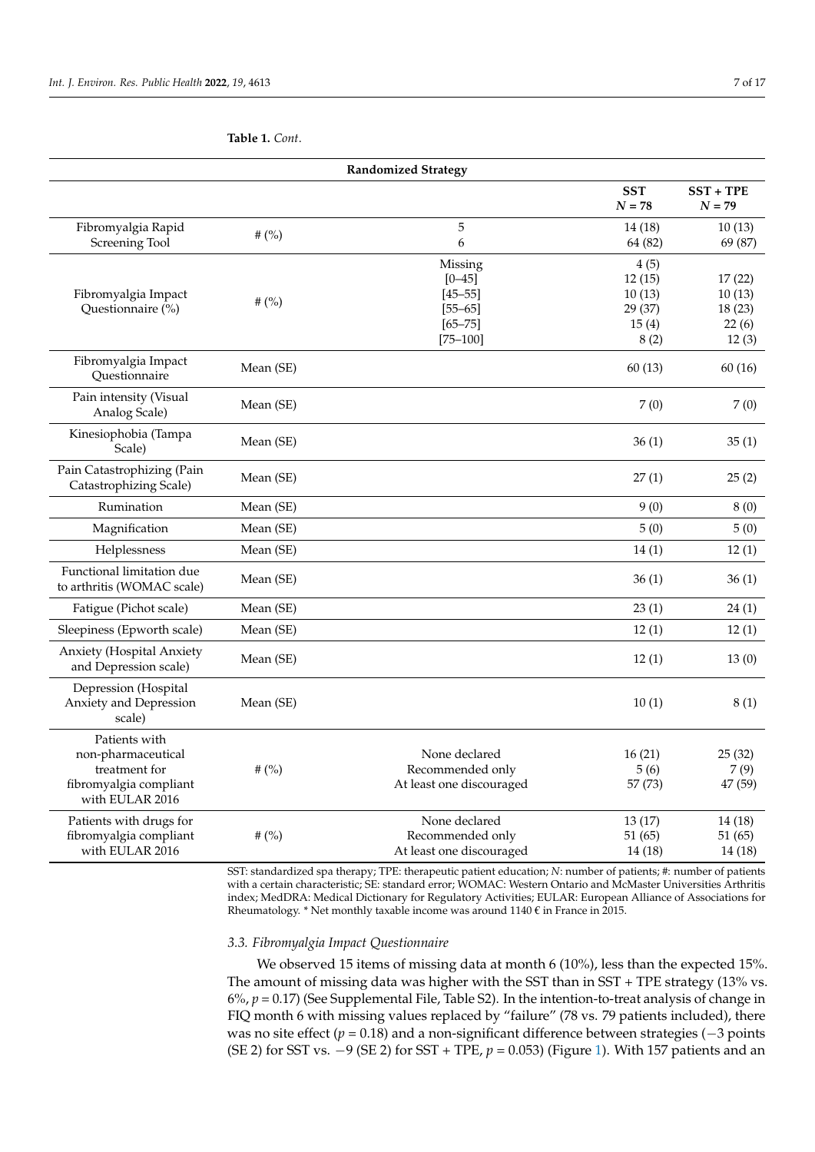| <b>Randomized Strategy</b>                                                                        |           |                                                                                    |                                                      |                                              |  |
|---------------------------------------------------------------------------------------------------|-----------|------------------------------------------------------------------------------------|------------------------------------------------------|----------------------------------------------|--|
|                                                                                                   |           |                                                                                    | <b>SST</b><br>$N = 78$                               | $SST + TPE$<br>$N = 79$                      |  |
| Fibromyalgia Rapid<br>Screening Tool                                                              | # $(%)$   | 5<br>6                                                                             | 14(18)<br>64 (82)                                    | 10(13)<br>69 (87)                            |  |
| Fibromyalgia Impact<br>Questionnaire (%)                                                          | # $(%)$   | Missing<br>$[0 - 45]$<br>$[45 - 55]$<br>$[55 - 65]$<br>$[65 - 75]$<br>$[75 - 100]$ | 4(5)<br>12(15)<br>10(13)<br>29 (37)<br>15(4)<br>8(2) | 17(22)<br>10(13)<br>18(23)<br>22(6)<br>12(3) |  |
| Fibromyalgia Impact<br>Questionnaire                                                              | Mean (SE) |                                                                                    | 60(13)                                               | 60(16)                                       |  |
| Pain intensity (Visual<br>Analog Scale)                                                           | Mean (SE) |                                                                                    | 7(0)                                                 | 7(0)                                         |  |
| Kinesiophobia (Tampa<br>Scale)                                                                    | Mean (SE) |                                                                                    | 36(1)                                                | 35(1)                                        |  |
| Pain Catastrophizing (Pain<br>Catastrophizing Scale)                                              | Mean (SE) |                                                                                    | 27(1)                                                | 25(2)                                        |  |
| Rumination                                                                                        | Mean (SE) |                                                                                    | 9(0)                                                 | 8(0)                                         |  |
| Magnification                                                                                     | Mean (SE) |                                                                                    | 5(0)                                                 | 5(0)                                         |  |
| Helplessness                                                                                      | Mean (SE) |                                                                                    | 14(1)                                                | 12(1)                                        |  |
| Functional limitation due<br>to arthritis (WOMAC scale)                                           | Mean (SE) |                                                                                    | 36(1)                                                | 36(1)                                        |  |
| Fatigue (Pichot scale)                                                                            | Mean (SE) |                                                                                    | 23(1)                                                | 24(1)                                        |  |
| Sleepiness (Epworth scale)                                                                        | Mean (SE) |                                                                                    | 12(1)                                                | 12(1)                                        |  |
| Anxiety (Hospital Anxiety<br>and Depression scale)                                                | Mean (SE) |                                                                                    | 12(1)                                                | 13(0)                                        |  |
| Depression (Hospital<br>Anxiety and Depression<br>scale)                                          | Mean (SE) |                                                                                    | 10(1)                                                | 8(1)                                         |  |
| Patients with<br>non-pharmaceutical<br>treatment for<br>fibromyalgia compliant<br>with EULAR 2016 | # $(%)$   | None declared<br>Recommended only<br>At least one discouraged                      | 16(21)<br>5(6)<br>57 (73)                            | 25(32)<br>7(9)<br>47 (59)                    |  |
| Patients with drugs for<br>fibromyalgia compliant<br>with EULAR 2016                              | # $(%)$   | None declared<br>Recommended only<br>At least one discouraged                      | 13(17)<br>51(65)<br>14(18)                           | 14(18)<br>51(65)<br>14(18)                   |  |

<span id="page-6-0"></span>**Table 1.** *Cont*.

SST: standardized spa therapy; TPE: therapeutic patient education; *N*: number of patients; #: number of patients with a certain characteristic; SE: standard error; WOMAC: Western Ontario and McMaster Universities Arthritis index; MedDRA: Medical Dictionary for Regulatory Activities; EULAR: European Alliance of Associations for Rheumatology. \* Net monthly taxable income was around  $1140 \text{ }\epsilon$  in France in 2015.

#### *3.3. Fibromyalgia Impact Questionnaire*

We observed 15 items of missing data at month 6 (10%), less than the expected 15%. The amount of missing data was higher with the SST than in SST + TPE strategy (13% vs. 6%, *p* = 0.17) (See Supplemental File, Table S2). In the intention-to-treat analysis of change in FIQ month 6 with missing values replaced by "failure" (78 vs. 79 patients included), there was no site effect (*p* = 0.18) and a non-significant difference between strategies (−3 points (SE 2) for SST vs. −9 (SE 2) for SST + TPE, *p* = 0.053) (Figure [1\)](#page-7-0). With 157 patients and an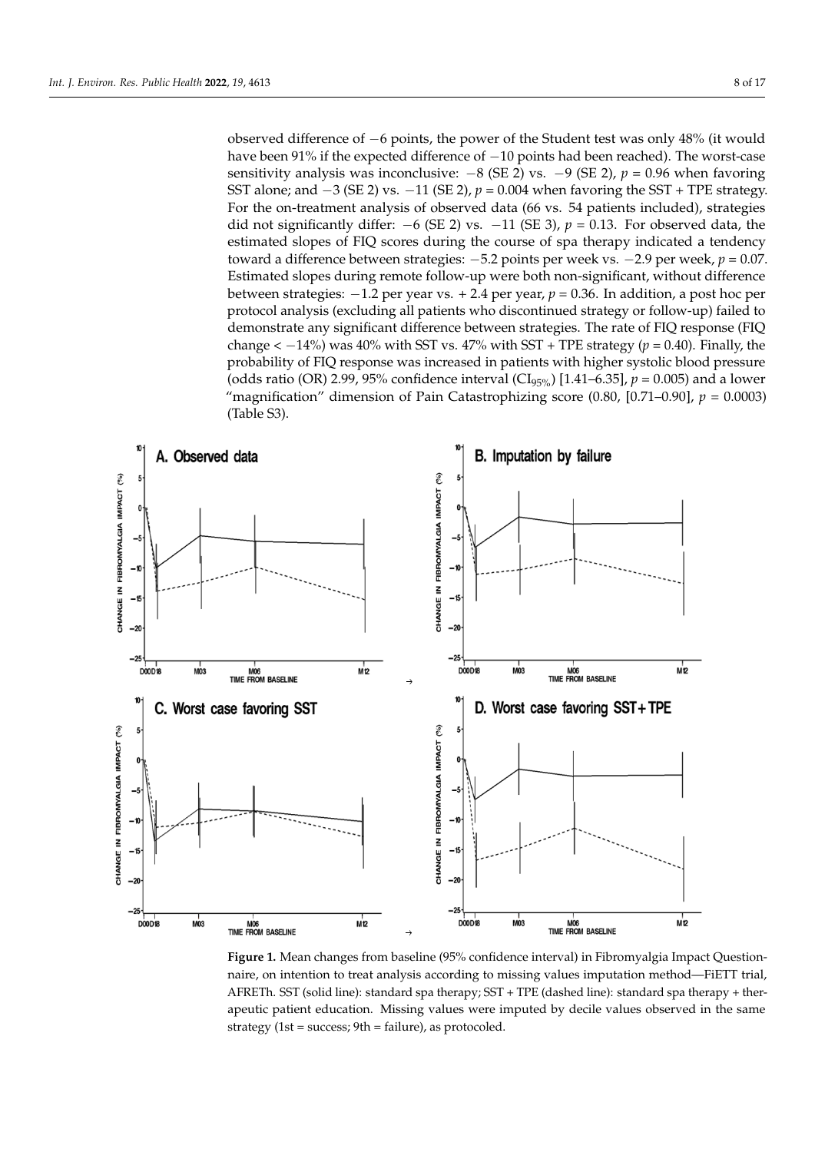observed difference of −6 points, the power of the Student test was only 48% (it would have been 91% if the expected difference of −10 points had been reached). The worst-case sensitivity analysis was inconclusive:  $-8$  (SE 2) vs.  $-9$  (SE 2),  $p = 0.96$  when favoring SST alone; and  $-3$  (SE 2) vs.  $-11$  (SE 2),  $p = 0.004$  when favoring the SST + TPE strategy. For the on-treatment analysis of observed data (66 vs. 54 patients included), strategies did not significantly differ:  $-6$  (SE 2) vs.  $-11$  (SE 3),  $p = 0.13$ . For observed data, the estimated slopes of FIQ scores during the course of spa therapy indicated a tendency toward a difference between strategies: −5.2 points per week vs. −2.9 per week, *p* = 0.07. Estimated slopes during remote follow-up were both non-significant, without difference between strategies: −1.2 per year vs. + 2.4 per year, *p* = 0.36. In addition, a post hoc per protocol analysis (excluding all patients who discontinued strategy or follow-up) failed to demonstrate any significant difference between strategies. The rate of FIQ response (FIQ change  $<-14\%$ ) was  $40\%$  with SST vs.  $47\%$  with SST + TPE strategy ( $p = 0.40$ ). Finally, the probability of FIQ response was increased in patients with higher systolic blood pressure (odds ratio (OR) 2.99, 95% confidence interval (CI<sub>95%</sub>) [1.41–6.35],  $p = 0.005$ ) and a lower "magnification" dimension of Pain Catastrophizing score (0.80, [0.71–0.90], *p* = 0.0003) "magnification" dimension of Pain Catastrophizing score (0.80, [0.71–0.90], *p =* 0.0003) (Table S3).

<span id="page-7-0"></span>

**Figure 1.** Mean changes from baseline (95% confidence interval) in Fibromyalgia Impact **Figure 1.** Mean changes from baseline (95% confidence interval) in Fibromyalgia Impact Questionnaire, on intention to treat analysis according to missing values imputation method—FiETT trial, AFRETh. SST (solid line): standard spa therapy; SST + TPE (dashed line): standard spa therapy + therapeutic patient education. Missing values were imputed by decile values observed in the same strategy (1st = success; 9th = failure), as protocoled.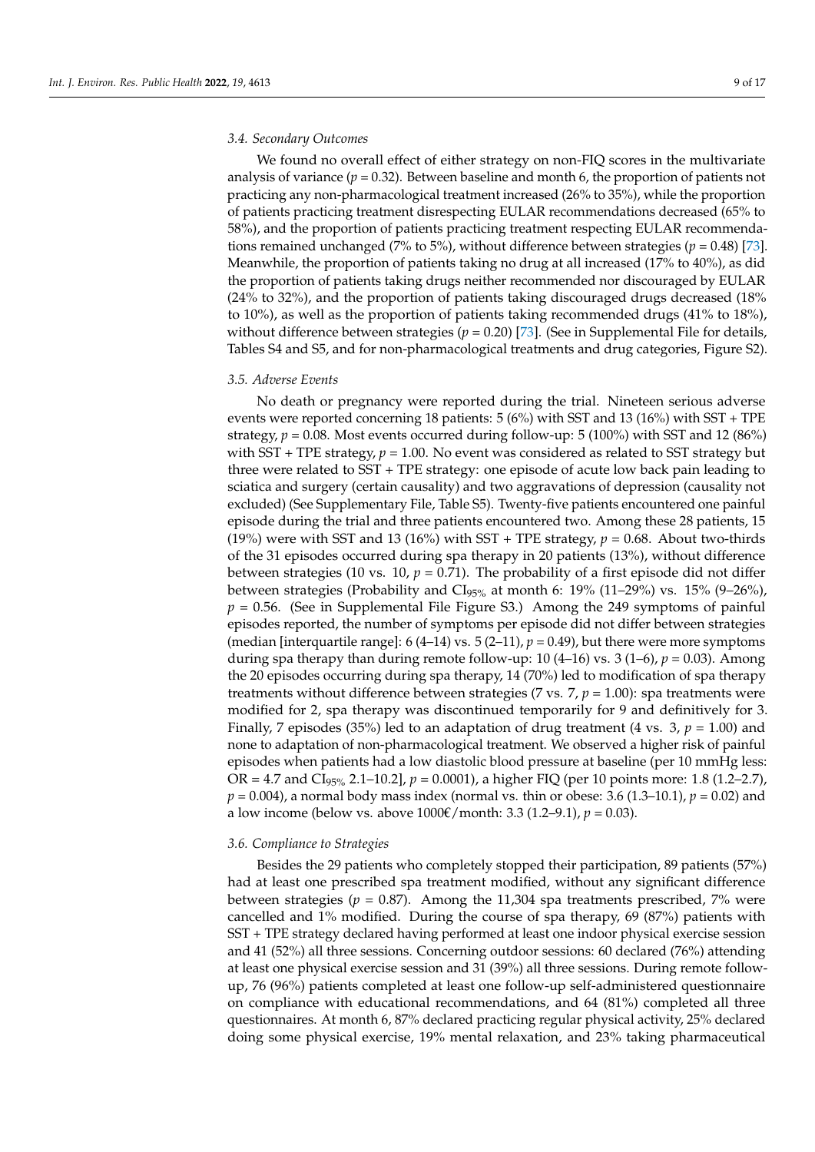## *3.4. Secondary Outcomes*

We found no overall effect of either strategy on non-FIQ scores in the multivariate analysis of variance  $(p = 0.32)$ . Between baseline and month 6, the proportion of patients not practicing any non-pharmacological treatment increased (26% to 35%), while the proportion of patients practicing treatment disrespecting EULAR recommendations decreased (65% to 58%), and the proportion of patients practicing treatment respecting EULAR recommendations remained unchanged (7% to 5%), without difference between strategies (*p* = 0.48) [\[73\]](#page-15-13). Meanwhile, the proportion of patients taking no drug at all increased (17% to 40%), as did the proportion of patients taking drugs neither recommended nor discouraged by EULAR (24% to 32%), and the proportion of patients taking discouraged drugs decreased (18% to 10%), as well as the proportion of patients taking recommended drugs (41% to 18%), without difference between strategies ( $p = 0.20$ ) [\[73\]](#page-15-13). (See in Supplemental File for details, Tables S4 and S5, and for non-pharmacological treatments and drug categories, Figure S2).

# *3.5. Adverse Events*

No death or pregnancy were reported during the trial. Nineteen serious adverse events were reported concerning 18 patients: 5 (6%) with SST and 13 (16%) with SST + TPE strategy,  $p = 0.08$ . Most events occurred during follow-up: 5 (100%) with SST and 12 (86%) with SST + TPE strategy,  $p = 1.00$ . No event was considered as related to SST strategy but three were related to SST + TPE strategy: one episode of acute low back pain leading to sciatica and surgery (certain causality) and two aggravations of depression (causality not excluded) (See Supplementary File, Table S5). Twenty-five patients encountered one painful episode during the trial and three patients encountered two. Among these 28 patients, 15 (19%) were with SST and 13 (16%) with SST + TPE strategy,  $p = 0.68$ . About two-thirds of the 31 episodes occurred during spa therapy in 20 patients (13%), without difference between strategies (10 vs. 10,  $p = 0.71$ ). The probability of a first episode did not differ between strategies (Probability and  $CI<sub>95%</sub>$  at month 6: 19% (11–29%) vs. 15% (9–26%),  $p = 0.56$ . (See in Supplemental File Figure S3.) Among the 249 symptoms of painful episodes reported, the number of symptoms per episode did not differ between strategies (median [interquartile range]:  $6(4-14)$  vs.  $5(2-11)$ ,  $p = 0.49$ ), but there were more symptoms during spa therapy than during remote follow-up: 10 (4–16) vs. 3 (1–6), *p* = 0.03). Among the 20 episodes occurring during spa therapy, 14 (70%) led to modification of spa therapy treatments without difference between strategies (7 vs.  $7, p = 1.00$ ): spa treatments were modified for 2, spa therapy was discontinued temporarily for 9 and definitively for 3. Finally, 7 episodes (35%) led to an adaptation of drug treatment (4 vs. 3,  $p = 1.00$ ) and none to adaptation of non-pharmacological treatment. We observed a higher risk of painful episodes when patients had a low diastolic blood pressure at baseline (per 10 mmHg less: OR = 4.7 and CI95% 2.1–10.2], *p* = 0.0001), a higher FIQ (per 10 points more: 1.8 (1.2–2.7), *p* = 0.004), a normal body mass index (normal vs. thin or obese: 3.6 (1.3–10.1), *p* = 0.02) and a low income (below vs. above 1000€/month: 3.3 (1.2–9.1), *p* = 0.03).

# *3.6. Compliance to Strategies*

Besides the 29 patients who completely stopped their participation, 89 patients (57%) had at least one prescribed spa treatment modified, without any significant difference between strategies ( $p = 0.87$ ). Among the 11,304 spa treatments prescribed, 7% were cancelled and 1% modified. During the course of spa therapy, 69 (87%) patients with SST + TPE strategy declared having performed at least one indoor physical exercise session and 41 (52%) all three sessions. Concerning outdoor sessions: 60 declared (76%) attending at least one physical exercise session and 31 (39%) all three sessions. During remote followup, 76 (96%) patients completed at least one follow-up self-administered questionnaire on compliance with educational recommendations, and 64 (81%) completed all three questionnaires. At month 6, 87% declared practicing regular physical activity, 25% declared doing some physical exercise, 19% mental relaxation, and 23% taking pharmaceutical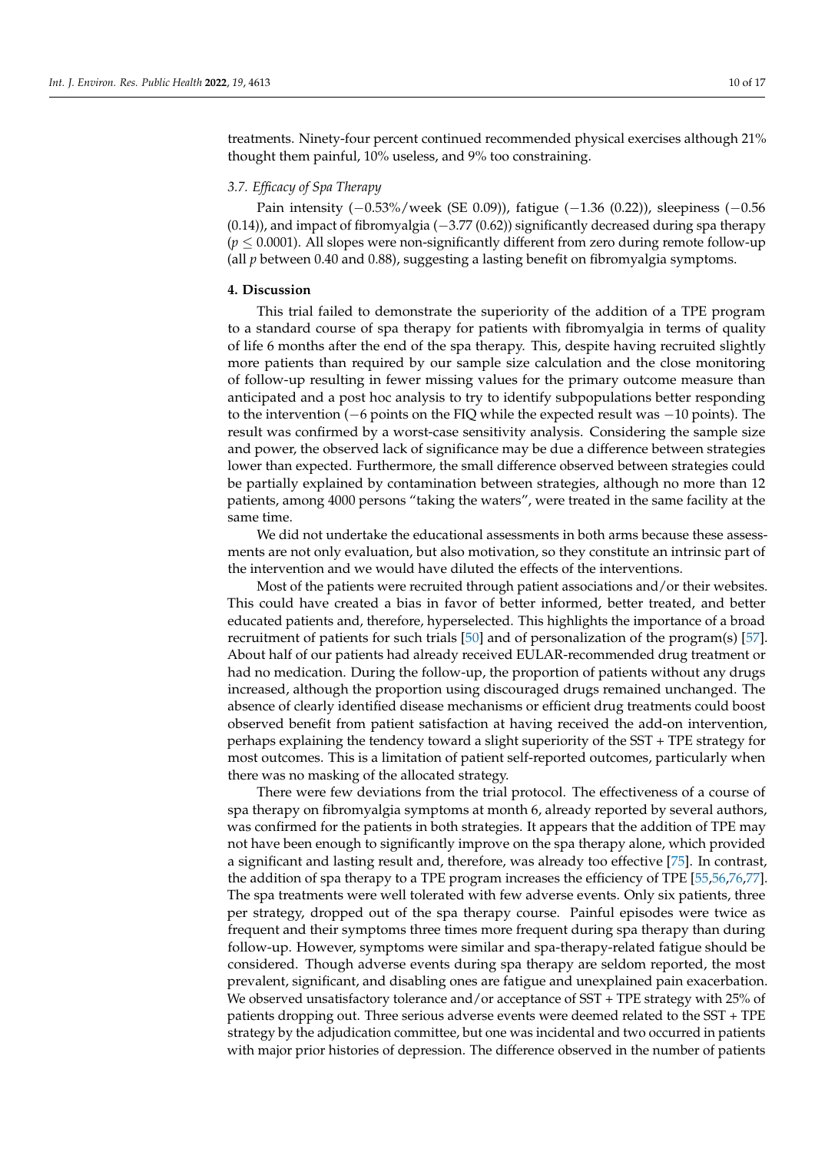treatments. Ninety-four percent continued recommended physical exercises although 21% thought them painful, 10% useless, and 9% too constraining.

## *3.7. Efficacy of Spa Therapy*

Pain intensity (−0.53%/week (SE 0.09)), fatigue (−1.36 (0.22)), sleepiness (−0.56  $(0.14)$ ), and impact of fibromyalgia ( $-3.77$   $(0.62)$ ) significantly decreased during spa therapy  $(p \leq 0.0001)$ . All slopes were non-significantly different from zero during remote follow-up (all *p* between 0.40 and 0.88), suggesting a lasting benefit on fibromyalgia symptoms.

## **4. Discussion**

This trial failed to demonstrate the superiority of the addition of a TPE program to a standard course of spa therapy for patients with fibromyalgia in terms of quality of life 6 months after the end of the spa therapy. This, despite having recruited slightly more patients than required by our sample size calculation and the close monitoring of follow-up resulting in fewer missing values for the primary outcome measure than anticipated and a post hoc analysis to try to identify subpopulations better responding to the intervention (−6 points on the FIQ while the expected result was −10 points). The result was confirmed by a worst-case sensitivity analysis. Considering the sample size and power, the observed lack of significance may be due a difference between strategies lower than expected. Furthermore, the small difference observed between strategies could be partially explained by contamination between strategies, although no more than 12 patients, among 4000 persons "taking the waters", were treated in the same facility at the same time.

We did not undertake the educational assessments in both arms because these assessments are not only evaluation, but also motivation, so they constitute an intrinsic part of the intervention and we would have diluted the effects of the interventions.

Most of the patients were recruited through patient associations and/or their websites. This could have created a bias in favor of better informed, better treated, and better educated patients and, therefore, hyperselected. This highlights the importance of a broad recruitment of patients for such trials [\[50\]](#page-14-11) and of personalization of the program(s) [\[57\]](#page-14-15). About half of our patients had already received EULAR-recommended drug treatment or had no medication. During the follow-up, the proportion of patients without any drugs increased, although the proportion using discouraged drugs remained unchanged. The absence of clearly identified disease mechanisms or efficient drug treatments could boost observed benefit from patient satisfaction at having received the add-on intervention, perhaps explaining the tendency toward a slight superiority of the SST + TPE strategy for most outcomes. This is a limitation of patient self-reported outcomes, particularly when there was no masking of the allocated strategy.

There were few deviations from the trial protocol. The effectiveness of a course of spa therapy on fibromyalgia symptoms at month 6, already reported by several authors, was confirmed for the patients in both strategies. It appears that the addition of TPE may not have been enough to significantly improve on the spa therapy alone, which provided a significant and lasting result and, therefore, was already too effective [\[75\]](#page-15-15). In contrast, the addition of spa therapy to a TPE program increases the efficiency of TPE [\[55](#page-14-13)[,56](#page-14-14)[,76,](#page-15-16)[77\]](#page-15-17). The spa treatments were well tolerated with few adverse events. Only six patients, three per strategy, dropped out of the spa therapy course. Painful episodes were twice as frequent and their symptoms three times more frequent during spa therapy than during follow-up. However, symptoms were similar and spa-therapy-related fatigue should be considered. Though adverse events during spa therapy are seldom reported, the most prevalent, significant, and disabling ones are fatigue and unexplained pain exacerbation. We observed unsatisfactory tolerance and/or acceptance of SST + TPE strategy with 25% of patients dropping out. Three serious adverse events were deemed related to the SST + TPE strategy by the adjudication committee, but one was incidental and two occurred in patients with major prior histories of depression. The difference observed in the number of patients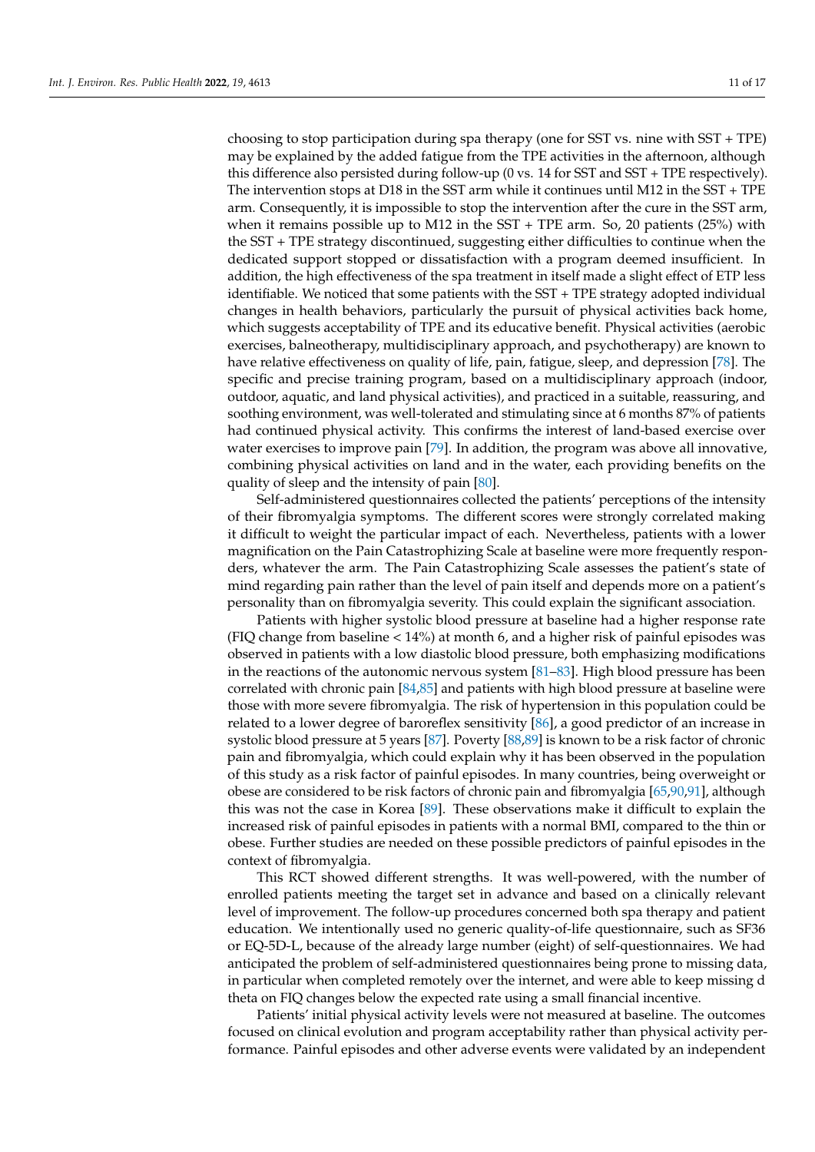choosing to stop participation during spa therapy (one for SST vs. nine with SST + TPE) may be explained by the added fatigue from the TPE activities in the afternoon, although this difference also persisted during follow-up (0 vs. 14 for SST and SST + TPE respectively). The intervention stops at D18 in the SST arm while it continues until M12 in the SST + TPE arm. Consequently, it is impossible to stop the intervention after the cure in the SST arm, when it remains possible up to M12 in the SST  $+$  TPE arm. So, 20 patients (25%) with the SST + TPE strategy discontinued, suggesting either difficulties to continue when the dedicated support stopped or dissatisfaction with a program deemed insufficient. In addition, the high effectiveness of the spa treatment in itself made a slight effect of ETP less identifiable. We noticed that some patients with the SST + TPE strategy adopted individual changes in health behaviors, particularly the pursuit of physical activities back home, which suggests acceptability of TPE and its educative benefit. Physical activities (aerobic exercises, balneotherapy, multidisciplinary approach, and psychotherapy) are known to have relative effectiveness on quality of life, pain, fatigue, sleep, and depression [\[78\]](#page-15-18). The specific and precise training program, based on a multidisciplinary approach (indoor, outdoor, aquatic, and land physical activities), and practiced in a suitable, reassuring, and soothing environment, was well-tolerated and stimulating since at 6 months 87% of patients had continued physical activity. This confirms the interest of land-based exercise over water exercises to improve pain [\[79\]](#page-15-19). In addition, the program was above all innovative, combining physical activities on land and in the water, each providing benefits on the quality of sleep and the intensity of pain [\[80\]](#page-15-20).

Self-administered questionnaires collected the patients' perceptions of the intensity of their fibromyalgia symptoms. The different scores were strongly correlated making it difficult to weight the particular impact of each. Nevertheless, patients with a lower magnification on the Pain Catastrophizing Scale at baseline were more frequently responders, whatever the arm. The Pain Catastrophizing Scale assesses the patient's state of mind regarding pain rather than the level of pain itself and depends more on a patient's personality than on fibromyalgia severity. This could explain the significant association.

Patients with higher systolic blood pressure at baseline had a higher response rate (FIQ change from baseline < 14%) at month 6, and a higher risk of painful episodes was observed in patients with a low diastolic blood pressure, both emphasizing modifications in the reactions of the autonomic nervous system [\[81–](#page-15-21)[83\]](#page-15-22). High blood pressure has been correlated with chronic pain [\[84,](#page-15-23)[85\]](#page-16-0) and patients with high blood pressure at baseline were those with more severe fibromyalgia. The risk of hypertension in this population could be related to a lower degree of baroreflex sensitivity [\[86\]](#page-16-1), a good predictor of an increase in systolic blood pressure at 5 years [\[87\]](#page-16-2). Poverty [\[88](#page-16-3)[,89\]](#page-16-4) is known to be a risk factor of chronic pain and fibromyalgia, which could explain why it has been observed in the population of this study as a risk factor of painful episodes. In many countries, being overweight or obese are considered to be risk factors of chronic pain and fibromyalgia [\[65,](#page-15-6)[90](#page-16-5)[,91\]](#page-16-6), although this was not the case in Korea [\[89\]](#page-16-4). These observations make it difficult to explain the increased risk of painful episodes in patients with a normal BMI, compared to the thin or obese. Further studies are needed on these possible predictors of painful episodes in the context of fibromyalgia.

This RCT showed different strengths. It was well-powered, with the number of enrolled patients meeting the target set in advance and based on a clinically relevant level of improvement. The follow-up procedures concerned both spa therapy and patient education. We intentionally used no generic quality-of-life questionnaire, such as SF36 or EQ-5D-L, because of the already large number (eight) of self-questionnaires. We had anticipated the problem of self-administered questionnaires being prone to missing data, in particular when completed remotely over the internet, and were able to keep missing d theta on FIQ changes below the expected rate using a small financial incentive.

Patients' initial physical activity levels were not measured at baseline. The outcomes focused on clinical evolution and program acceptability rather than physical activity performance. Painful episodes and other adverse events were validated by an independent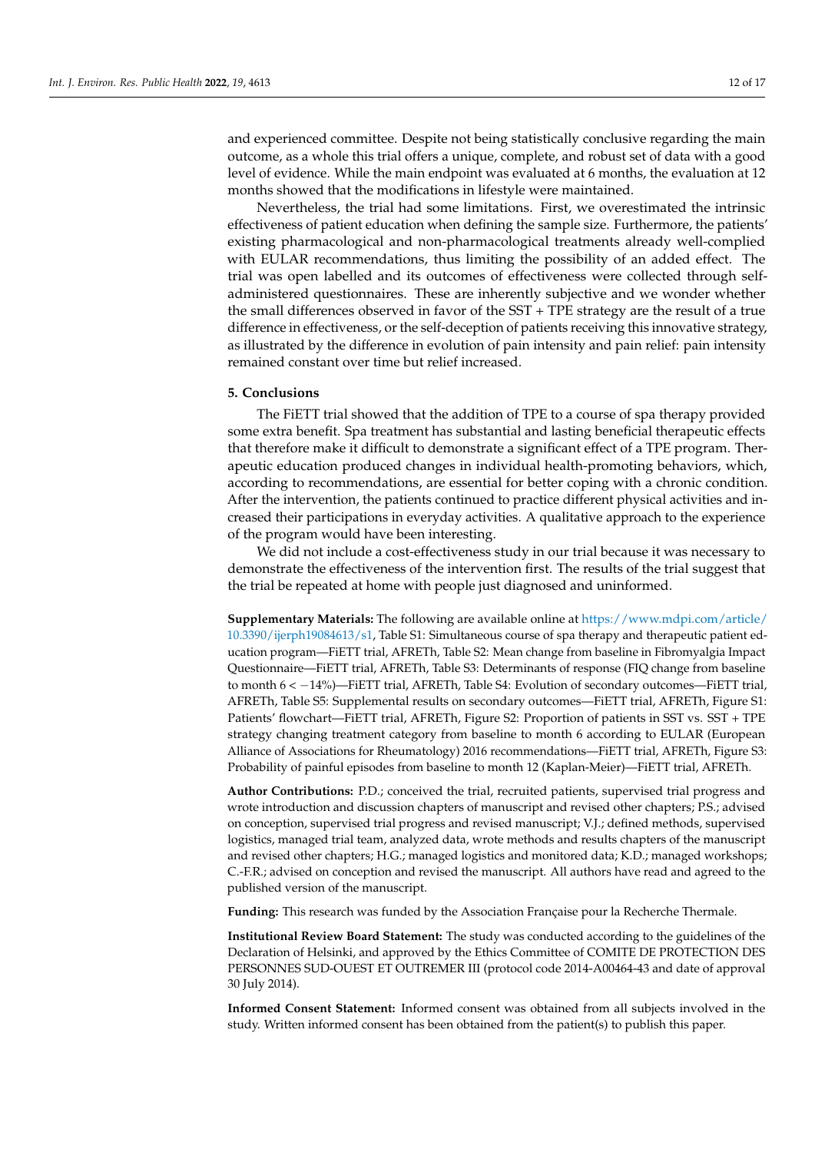and experienced committee. Despite not being statistically conclusive regarding the main outcome, as a whole this trial offers a unique, complete, and robust set of data with a good level of evidence. While the main endpoint was evaluated at 6 months, the evaluation at 12 months showed that the modifications in lifestyle were maintained.

Nevertheless, the trial had some limitations. First, we overestimated the intrinsic effectiveness of patient education when defining the sample size. Furthermore, the patients' existing pharmacological and non-pharmacological treatments already well-complied with EULAR recommendations, thus limiting the possibility of an added effect. The trial was open labelled and its outcomes of effectiveness were collected through selfadministered questionnaires. These are inherently subjective and we wonder whether the small differences observed in favor of the SST + TPE strategy are the result of a true difference in effectiveness, or the self-deception of patients receiving this innovative strategy, as illustrated by the difference in evolution of pain intensity and pain relief: pain intensity remained constant over time but relief increased.

# **5. Conclusions**

The FiETT trial showed that the addition of TPE to a course of spa therapy provided some extra benefit. Spa treatment has substantial and lasting beneficial therapeutic effects that therefore make it difficult to demonstrate a significant effect of a TPE program. Therapeutic education produced changes in individual health-promoting behaviors, which, according to recommendations, are essential for better coping with a chronic condition. After the intervention, the patients continued to practice different physical activities and increased their participations in everyday activities. A qualitative approach to the experience of the program would have been interesting.

We did not include a cost-effectiveness study in our trial because it was necessary to demonstrate the effectiveness of the intervention first. The results of the trial suggest that the trial be repeated at home with people just diagnosed and uninformed.

**Supplementary Materials:** The following are available online at [https://www.mdpi.com/article/](https://www.mdpi.com/article/10.3390/ijerph19084613/s1) [10.3390/ijerph19084613/s1,](https://www.mdpi.com/article/10.3390/ijerph19084613/s1) Table S1: Simultaneous course of spa therapy and therapeutic patient education program—FiETT trial, AFRETh, Table S2: Mean change from baseline in Fibromyalgia Impact Questionnaire—FiETT trial, AFRETh, Table S3: Determinants of response (FIQ change from baseline to month 6 < −14%)—FiETT trial, AFRETh, Table S4: Evolution of secondary outcomes—FiETT trial, AFRETh, Table S5: Supplemental results on secondary outcomes—FiETT trial, AFRETh, Figure S1: Patients' flowchart—FiETT trial, AFRETh, Figure S2: Proportion of patients in SST vs. SST + TPE strategy changing treatment category from baseline to month 6 according to EULAR (European Alliance of Associations for Rheumatology) 2016 recommendations—FiETT trial, AFRETh, Figure S3: Probability of painful episodes from baseline to month 12 (Kaplan-Meier)—FiETT trial, AFRETh.

**Author Contributions:** P.D.; conceived the trial, recruited patients, supervised trial progress and wrote introduction and discussion chapters of manuscript and revised other chapters; P.S.; advised on conception, supervised trial progress and revised manuscript; V.J.; defined methods, supervised logistics, managed trial team, analyzed data, wrote methods and results chapters of the manuscript and revised other chapters; H.G.; managed logistics and monitored data; K.D.; managed workshops; C.-F.R.; advised on conception and revised the manuscript. All authors have read and agreed to the published version of the manuscript.

**Funding:** This research was funded by the Association Française pour la Recherche Thermale.

**Institutional Review Board Statement:** The study was conducted according to the guidelines of the Declaration of Helsinki, and approved by the Ethics Committee of COMITE DE PROTECTION DES PERSONNES SUD-OUEST ET OUTREMER III (protocol code 2014-A00464-43 and date of approval 30 July 2014).

**Informed Consent Statement:** Informed consent was obtained from all subjects involved in the study. Written informed consent has been obtained from the patient(s) to publish this paper.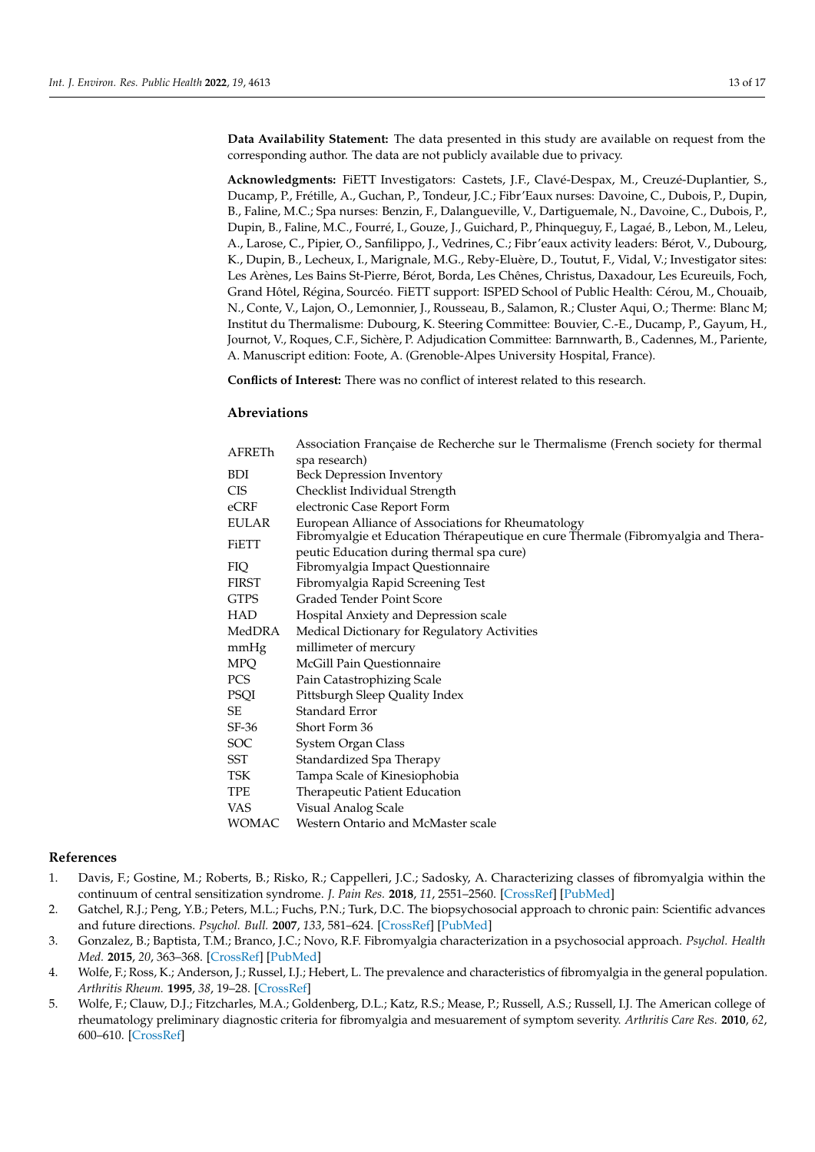**Data Availability Statement:** The data presented in this study are available on request from the corresponding author. The data are not publicly available due to privacy.

**Acknowledgments:** FiETT Investigators: Castets, J.F., Clavé-Despax, M., Creuzé-Duplantier, S., Ducamp, P., Frétille, A., Guchan, P., Tondeur, J.C.; Fibr'Eaux nurses: Davoine, C., Dubois, P., Dupin, B., Faline, M.C.; Spa nurses: Benzin, F., Dalangueville, V., Dartiguemale, N., Davoine, C., Dubois, P., Dupin, B., Faline, M.C., Fourré, I., Gouze, J., Guichard, P., Phinqueguy, F., Lagaé, B., Lebon, M., Leleu, A., Larose, C., Pipier, O., Sanfilippo, J., Vedrines, C.; Fibr'eaux activity leaders: Bérot, V., Dubourg, K., Dupin, B., Lecheux, I., Marignale, M.G., Reby-Eluère, D., Toutut, F., Vidal, V.; Investigator sites: Les Arènes, Les Bains St-Pierre, Bérot, Borda, Les Chênes, Christus, Daxadour, Les Ecureuils, Foch, Grand Hôtel, Régina, Sourcéo. FiETT support: ISPED School of Public Health: Cérou, M., Chouaib, N., Conte, V., Lajon, O., Lemonnier, J., Rousseau, B., Salamon, R.; Cluster Aqui, O.; Therme: Blanc M; Institut du Thermalisme: Dubourg, K. Steering Committee: Bouvier, C.-E., Ducamp, P., Gayum, H., Journot, V., Roques, C.F., Sichère, P. Adjudication Committee: Barnnwarth, B., Cadennes, M., Pariente, A. Manuscript edition: Foote, A. (Grenoble-Alpes University Hospital, France).

**Conflicts of Interest:** There was no conflict of interest related to this research.

## **Abreviations**

| AFRETh       | Association Française de Recherche sur le Thermalisme (French society for thermal |
|--------------|-----------------------------------------------------------------------------------|
|              | spa research)                                                                     |
| <b>BDI</b>   | Beck Depression Inventory                                                         |
| <b>CIS</b>   | Checklist Individual Strength                                                     |
| eCRF         | electronic Case Report Form                                                       |
| <b>EULAR</b> | European Alliance of Associations for Rheumatology                                |
| <b>FiETT</b> | Fibromyalgie et Education Thérapeutique en cure Thermale (Fibromyalgia and Thera- |
|              | peutic Education during thermal spa cure)                                         |
| <b>FIQ</b>   | Fibromyalgia Impact Questionnaire                                                 |
| <b>FIRST</b> | Fibromyalgia Rapid Screening Test                                                 |
| <b>GTPS</b>  | Graded Tender Point Score                                                         |
| <b>HAD</b>   | Hospital Anxiety and Depression scale                                             |
| MedDRA       | Medical Dictionary for Regulatory Activities                                      |
| mmHg         | millimeter of mercury                                                             |
| <b>MPQ</b>   | McGill Pain Questionnaire                                                         |
| PCS          | Pain Catastrophizing Scale                                                        |
| PSQI         | Pittsburgh Sleep Quality Index                                                    |
| SE           | Standard Error                                                                    |
| $SF-36$      | Short Form 36                                                                     |
| <b>SOC</b>   | System Organ Class                                                                |
| SST          | Standardized Spa Therapy                                                          |
| TSK          | Tampa Scale of Kinesiophobia                                                      |
| TPE          | Therapeutic Patient Education                                                     |
| VAS          | Visual Analog Scale                                                               |
| <b>WOMAC</b> | Western Ontario and McMaster scale                                                |

#### **References**

- <span id="page-12-0"></span>1. Davis, F.; Gostine, M.; Roberts, B.; Risko, R.; Cappelleri, J.C.; Sadosky, A. Characterizing classes of fibromyalgia within the continuum of central sensitization syndrome. *J. Pain Res.* **2018**, *11*, 2551–2560. [\[CrossRef\]](http://doi.org/10.2147/JPR.S147199) [\[PubMed\]](http://www.ncbi.nlm.nih.gov/pubmed/30425566)
- <span id="page-12-1"></span>2. Gatchel, R.J.; Peng, Y.B.; Peters, M.L.; Fuchs, P.N.; Turk, D.C. The biopsychosocial approach to chronic pain: Scientific advances and future directions. *Psychol. Bull.* **2007**, *133*, 581–624. [\[CrossRef\]](http://doi.org/10.1037/0033-2909.133.4.581) [\[PubMed\]](http://www.ncbi.nlm.nih.gov/pubmed/17592957)
- 3. Gonzalez, B.; Baptista, T.M.; Branco, J.C.; Novo, R.F. Fibromyalgia characterization in a psychosocial approach. *Psychol. Health Med.* **2015**, *20*, 363–368. [\[CrossRef\]](http://doi.org/10.1080/13548506.2014.931590) [\[PubMed\]](http://www.ncbi.nlm.nih.gov/pubmed/24964249)
- <span id="page-12-3"></span>4. Wolfe, F.; Ross, K.; Anderson, J.; Russel, I.J.; Hebert, L. The prevalence and characteristics of fibromyalgia in the general population. *Arthritis Rheum.* **1995**, *38*, 19–28. [\[CrossRef\]](http://doi.org/10.1002/art.1780380104)
- <span id="page-12-2"></span>5. Wolfe, F.; Clauw, D.J.; Fitzcharles, M.A.; Goldenberg, D.L.; Katz, R.S.; Mease, P.; Russell, A.S.; Russell, I.J. The American college of rheumatology preliminary diagnostic criteria for fibromyalgia and mesuarement of symptom severity. *Arthritis Care Res.* **2010**, *62*, 600–610. [\[CrossRef\]](http://doi.org/10.1002/acr.20140)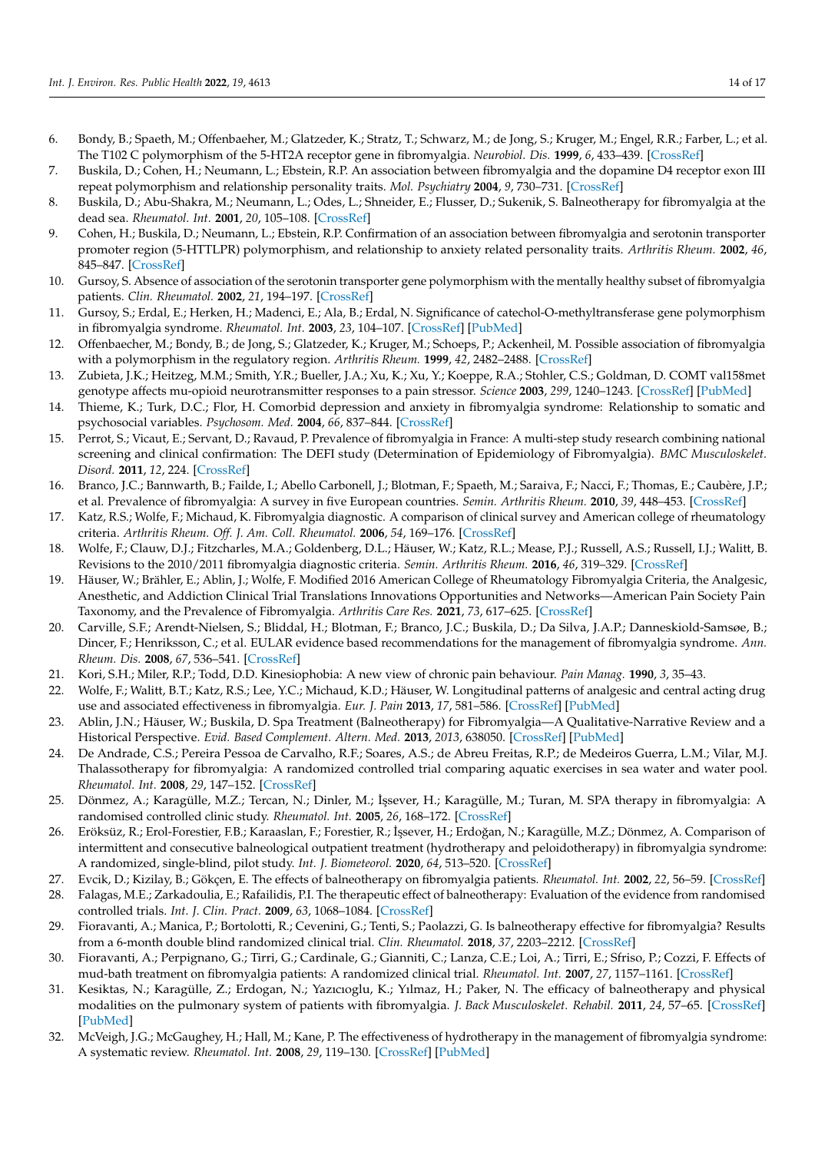- <span id="page-13-0"></span>6. Bondy, B.; Spaeth, M.; Offenbaeher, M.; Glatzeder, K.; Stratz, T.; Schwarz, M.; de Jong, S.; Kruger, M.; Engel, R.R.; Farber, L.; et al. The T102 C polymorphism of the 5-HT2A receptor gene in fibromyalgia. *Neurobiol. Dis.* **1999**, *6*, 433–439. [\[CrossRef\]](http://doi.org/10.1006/nbdi.1999.0262)
- 7. Buskila, D.; Cohen, H.; Neumann, L.; Ebstein, R.P. An association between fibromyalgia and the dopamine D4 receptor exon III repeat polymorphism and relationship personality traits. *Mol. Psychiatry* **2004**, *9*, 730–731. [\[CrossRef\]](http://doi.org/10.1038/sj.mp.4001568)
- <span id="page-13-11"></span>8. Buskila, D.; Abu-Shakra, M.; Neumann, L.; Odes, L.; Shneider, E.; Flusser, D.; Sukenik, S. Balneotherapy for fibromyalgia at the dead sea. *Rheumatol. Int.* **2001**, *20*, 105–108. [\[CrossRef\]](http://doi.org/10.1007/s002960000085)
- 9. Cohen, H.; Buskila, D.; Neumann, L.; Ebstein, R.P. Confirmation of an association between fibromyalgia and serotonin transporter promoter region (5-HTTLPR) polymorphism, and relationship to anxiety related personality traits. *Arthritis Rheum.* **2002**, *46*, 845–847. [\[CrossRef\]](http://doi.org/10.1002/art.10103)
- <span id="page-13-20"></span>10. Gursoy, S. Absence of association of the serotonin transporter gene polymorphism with the mentally healthy subset of fibromyalgia patients. *Clin. Rheumatol.* **2002**, *21*, 194–197. [\[CrossRef\]](http://doi.org/10.1007/s10067-002-8284-5)
- 11. Gursoy, S.; Erdal, E.; Herken, H.; Madenci, E.; Ala, B.; Erdal, N. Significance of catechol-O-methyltransferase gene polymorphism in fibromyalgia syndrome. *Rheumatol. Int.* **2003**, *23*, 104–107. [\[CrossRef\]](http://doi.org/10.1007/s00296-002-0260-5) [\[PubMed\]](http://www.ncbi.nlm.nih.gov/pubmed/12739038)
- 12. Offenbaecher, M.; Bondy, B.; de Jong, S.; Glatzeder, K.; Kruger, M.; Schoeps, P.; Ackenheil, M. Possible association of fibromyalgia with a polymorphism in the regulatory region. *Arthritis Rheum.* **1999**, *42*, 2482–2488. [\[CrossRef\]](http://doi.org/10.1002/1529-0131(199911)42:11<2482::AID-ANR27>3.0.CO;2-B)
- <span id="page-13-1"></span>13. Zubieta, J.K.; Heitzeg, M.M.; Smith, Y.R.; Bueller, J.A.; Xu, K.; Xu, Y.; Koeppe, R.A.; Stohler, C.S.; Goldman, D. COMT val158met genotype affects mu-opioid neurotransmitter responses to a pain stressor. *Science* **2003**, *299*, 1240–1243. [\[CrossRef\]](http://doi.org/10.1126/science.1078546) [\[PubMed\]](http://www.ncbi.nlm.nih.gov/pubmed/12595695)
- <span id="page-13-2"></span>14. Thieme, K.; Turk, D.C.; Flor, H. Comorbid depression and anxiety in fibromyalgia syndrome: Relationship to somatic and psychosocial variables. *Psychosom. Med.* **2004**, *66*, 837–844. [\[CrossRef\]](http://doi.org/10.1097/01.psy.0000146329.63158.40)
- <span id="page-13-3"></span>15. Perrot, S.; Vicaut, E.; Servant, D.; Ravaud, P. Prevalence of fibromyalgia in France: A multi-step study research combining national screening and clinical confirmation: The DEFI study (Determination of Epidemiology of Fibromyalgia). *BMC Musculoskelet. Disord.* **2011**, *12*, 224. [\[CrossRef\]](http://doi.org/10.1186/1471-2474-12-224)
- <span id="page-13-4"></span>16. Branco, J.C.; Bannwarth, B.; Failde, I.; Abello Carbonell, J.; Blotman, F.; Spaeth, M.; Saraiva, F.; Nacci, F.; Thomas, E.; Caubère, J.P.; et al. Prevalence of fibromyalgia: A survey in five European countries. *Semin. Arthritis Rheum.* **2010**, *39*, 448–453. [\[CrossRef\]](http://doi.org/10.1016/j.semarthrit.2008.12.003)
- <span id="page-13-5"></span>17. Katz, R.S.; Wolfe, F.; Michaud, K. Fibromyalgia diagnostic. A comparison of clinical survey and American college of rheumatology criteria. *Arthritis Rheum. Off. J. Am. Coll. Rheumatol.* **2006**, *54*, 169–176. [\[CrossRef\]](http://doi.org/10.1002/art.21533)
- <span id="page-13-6"></span>18. Wolfe, F.; Clauw, D.J.; Fitzcharles, M.A.; Goldenberg, D.L.; Häuser, W.; Katz, R.L.; Mease, P.J.; Russell, A.S.; Russell, I.J.; Walitt, B. Revisions to the 2010/2011 fibromyalgia diagnostic criteria. *Semin. Arthritis Rheum.* **2016**, *46*, 319–329. [\[CrossRef\]](http://doi.org/10.1016/j.semarthrit.2016.08.012)
- <span id="page-13-7"></span>19. Häuser, W.; Brähler, E.; Ablin, J.; Wolfe, F. Modified 2016 American College of Rheumatology Fibromyalgia Criteria, the Analgesic, Anesthetic, and Addiction Clinical Trial Translations Innovations Opportunities and Networks—American Pain Society Pain Taxonomy, and the Prevalence of Fibromyalgia. *Arthritis Care Res.* **2021**, *73*, 617–625. [\[CrossRef\]](http://doi.org/10.1002/acr.24202)
- <span id="page-13-8"></span>20. Carville, S.F.; Arendt-Nielsen, S.; Bliddal, H.; Blotman, F.; Branco, J.C.; Buskila, D.; Da Silva, J.A.P.; Danneskiold-Samsøe, B.; Dincer, F.; Henriksson, C.; et al. EULAR evidence based recommendations for the management of fibromyalgia syndrome. *Ann. Rheum. Dis.* **2008**, *67*, 536–541. [\[CrossRef\]](http://doi.org/10.1136/ard.2007.071522)
- <span id="page-13-9"></span>21. Kori, S.H.; Miler, R.P.; Todd, D.D. Kinesiophobia: A new view of chronic pain behaviour. *Pain Manag.* **1990**, *3*, 35–43.
- <span id="page-13-10"></span>22. Wolfe, F.; Walitt, B.T.; Katz, R.S.; Lee, Y.C.; Michaud, K.D.; Häuser, W. Longitudinal patterns of analgesic and central acting drug use and associated effectiveness in fibromyalgia. *Eur. J. Pain* **2013**, *17*, 581–586. [\[CrossRef\]](http://doi.org/10.1002/j.1532-2149.2012.00234.x) [\[PubMed\]](http://www.ncbi.nlm.nih.gov/pubmed/23169685)
- <span id="page-13-12"></span>23. Ablin, J.N.; Häuser, W.; Buskila, D. Spa Treatment (Balneotherapy) for Fibromyalgia—A Qualitative-Narrative Review and a Historical Perspective. *Evid. Based Complement. Altern. Med.* **2013**, *2013*, 638050. [\[CrossRef\]](http://doi.org/10.1155/2013/638050) [\[PubMed\]](http://www.ncbi.nlm.nih.gov/pubmed/23983795)
- <span id="page-13-13"></span>24. De Andrade, C.S.; Pereira Pessoa de Carvalho, R.F.; Soares, A.S.; de Abreu Freitas, R.P.; de Medeiros Guerra, L.M.; Vilar, M.J. Thalassotherapy for fibromyalgia: A randomized controlled trial comparing aquatic exercises in sea water and water pool. *Rheumatol. Int.* **2008**, *29*, 147–152. [\[CrossRef\]](http://doi.org/10.1007/s00296-008-0644-2)
- <span id="page-13-18"></span>25. Dönmez, A.; Karagülle, M.Z.; Tercan, N.; Dinler, M.; ˙I¸ssever, H.; Karagülle, M.; Turan, M. SPA therapy in fibromyalgia: A randomised controlled clinic study. *Rheumatol. Int.* **2005**, *26*, 168–172. [\[CrossRef\]](http://doi.org/10.1007/s00296-005-0623-9)
- <span id="page-13-14"></span>26. Eröksüz, R.; Erol-Forestier, F.B.; Karaaslan, F.; Forestier, R.; İşsever, H.; Erdoğan, N.; Karagülle, M.Z.; Dönmez, A. Comparison of intermittent and consecutive balneological outpatient treatment (hydrotherapy and peloidotherapy) in fibromyalgia syndrome: A randomized, single-blind, pilot study. *Int. J. Biometeorol.* **2020**, *64*, 513–520. [\[CrossRef\]](http://doi.org/10.1007/s00484-019-01838-3)
- <span id="page-13-15"></span>27. Evcik, D.; Kizilay, B.; Gökçen, E. The effects of balneotherapy on fibromyalgia patients. *Rheumatol. Int.* **2002**, *22*, 56–59. [\[CrossRef\]](http://doi.org/10.1007/s00296-002-0189-8)
- <span id="page-13-21"></span>28. Falagas, M.E.; Zarkadoulia, E.; Rafailidis, P.I. The therapeutic effect of balneotherapy: Evaluation of the evidence from randomised controlled trials. *Int. J. Clin. Pract.* **2009**, *63*, 1068–1084. [\[CrossRef\]](http://doi.org/10.1111/j.1742-1241.2009.02062.x)
- <span id="page-13-16"></span>29. Fioravanti, A.; Manica, P.; Bortolotti, R.; Cevenini, G.; Tenti, S.; Paolazzi, G. Is balneotherapy effective for fibromyalgia? Results from a 6-month double blind randomized clinical trial. *Clin. Rheumatol.* **2018**, *37*, 2203–2212. [\[CrossRef\]](http://doi.org/10.1007/s10067-018-4117-z)
- <span id="page-13-17"></span>30. Fioravanti, A.; Perpignano, G.; Tirri, G.; Cardinale, G.; Gianniti, C.; Lanza, C.E.; Loi, A.; Tirri, E.; Sfriso, P.; Cozzi, F. Effects of mud-bath treatment on fibromyalgia patients: A randomized clinical trial. *Rheumatol. Int.* **2007**, *27*, 1157–1161. [\[CrossRef\]](http://doi.org/10.1007/s00296-007-0358-x)
- <span id="page-13-19"></span>31. Kesiktas, N.; Karagülle, Z.; Erdogan, N.; Yazıcıoglu, K.; Yılmaz, H.; Paker, N. The efficacy of balneotherapy and physical modalities on the pulmonary system of patients with fibromyalgia. *J. Back Musculoskelet. Rehabil.* **2011**, *24*, 57–65. [\[CrossRef\]](http://doi.org/10.3233/BMR-2011-0276) [\[PubMed\]](http://www.ncbi.nlm.nih.gov/pubmed/21248401)
- <span id="page-13-22"></span>32. McVeigh, J.G.; McGaughey, H.; Hall, M.; Kane, P. The effectiveness of hydrotherapy in the management of fibromyalgia syndrome: A systematic review. *Rheumatol. Int.* **2008**, *29*, 119–130. [\[CrossRef\]](http://doi.org/10.1007/s00296-008-0674-9) [\[PubMed\]](http://www.ncbi.nlm.nih.gov/pubmed/18751709)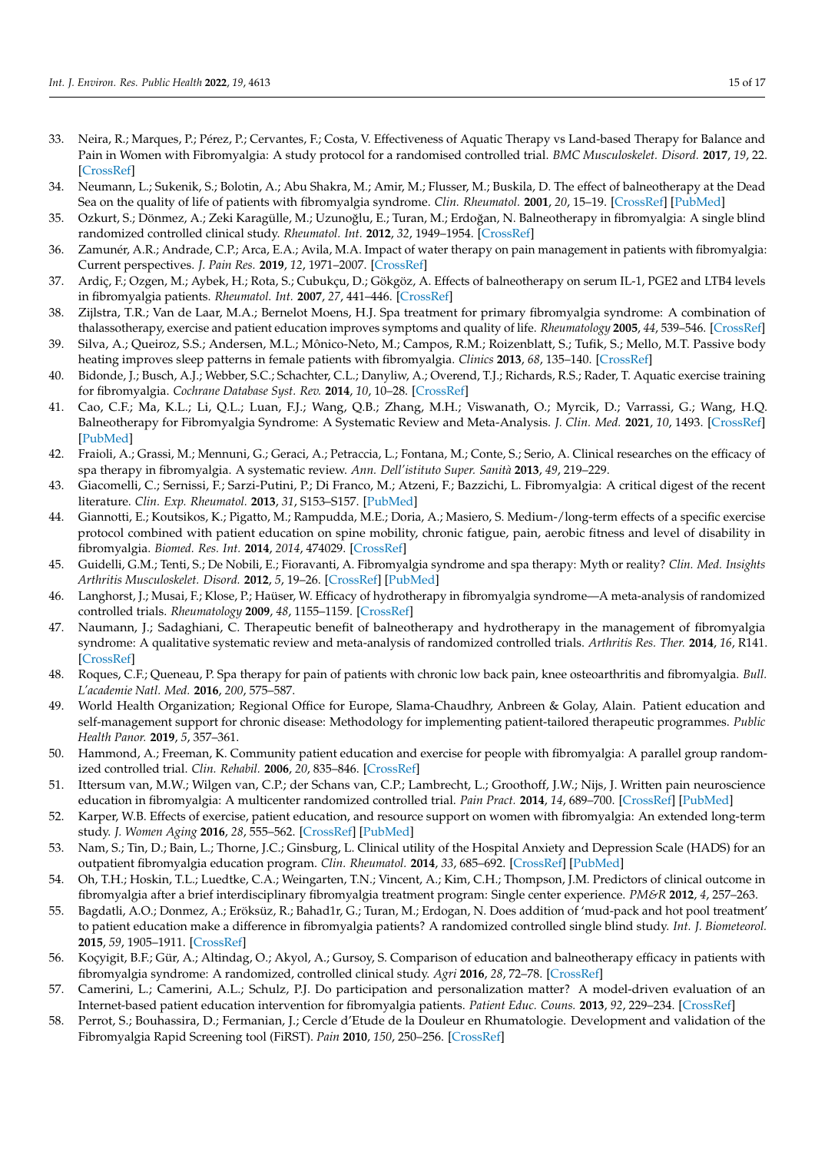- 33. Neira, R.; Marques, P.; Pérez, P.; Cervantes, F.; Costa, V. Effectiveness of Aquatic Therapy vs Land-based Therapy for Balance and Pain in Women with Fibromyalgia: A study protocol for a randomised controlled trial. *BMC Musculoskelet. Disord.* **2017**, *19*, 22. [\[CrossRef\]](http://doi.org/10.1186/s12891-016-1364-5)
- <span id="page-14-4"></span>34. Neumann, L.; Sukenik, S.; Bolotin, A.; Abu Shakra, M.; Amir, M.; Flusser, M.; Buskila, D. The effect of balneotherapy at the Dead Sea on the quality of life of patients with fibromyalgia syndrome. *Clin. Rheumatol.* **2001**, *20*, 15–19. [\[CrossRef\]](http://doi.org/10.1007/s100670170097) [\[PubMed\]](http://www.ncbi.nlm.nih.gov/pubmed/11254234)
- <span id="page-14-1"></span>35. Ozkurt, S.; Dönmez, A.; Zeki Karagülle, M.; Uzunoğlu, E.; Turan, M.; Erdoğan, N. Balneotherapy in fibromyalgia: A single blind randomized controlled clinical study. *Rheumatol. Int.* **2012**, *32*, 1949–1954. [\[CrossRef\]](http://doi.org/10.1007/s00296-011-1888-9)
- <span id="page-14-0"></span>36. Zamunér, A.R.; Andrade, C.P.; Arca, E.A.; Avila, M.A. Impact of water therapy on pain management in patients with fibromyalgia: Current perspectives. *J. Pain Res.* **2019**, *12*, 1971–2007. [\[CrossRef\]](http://doi.org/10.2147/JPR.S161494)
- <span id="page-14-2"></span>37. Ardiç, F.; Ozgen, M.; Aybek, H.; Rota, S.; Cubukçu, D.; Gökgöz, A. Effects of balneotherapy on serum IL-1, PGE2 and LTB4 levels in fibromyalgia patients. *Rheumatol. Int.* **2007**, *27*, 441–446. [\[CrossRef\]](http://doi.org/10.1007/s00296-006-0237-x)
- <span id="page-14-3"></span>38. Zijlstra, T.R.; Van de Laar, M.A.; Bernelot Moens, H.J. Spa treatment for primary fibromyalgia syndrome: A combination of thalassotherapy, exercise and patient education improves symptoms and quality of life. *Rheumatology* **2005**, *44*, 539–546. [\[CrossRef\]](http://doi.org/10.1093/rheumatology/keh537)
- <span id="page-14-5"></span>39. Silva, A.; Queiroz, S.S.; Andersen, M.L.; Mônico-Neto, M.; Campos, R.M.; Roizenblatt, S.; Tufik, S.; Mello, M.T. Passive body heating improves sleep patterns in female patients with fibromyalgia. *Clinics* **2013**, *68*, 135–140. [\[CrossRef\]](http://doi.org/10.6061/clinics/2013(02)OA03)
- <span id="page-14-6"></span>40. Bidonde, J.; Busch, A.J.; Webber, S.C.; Schachter, C.L.; Danyliw, A.; Overend, T.J.; Richards, R.S.; Rader, T. Aquatic exercise training for fibromyalgia. *Cochrane Database Syst. Rev.* **2014**, *10*, 10–28. [\[CrossRef\]](http://doi.org/10.1002/14651858.CD011336)
- 41. Cao, C.F.; Ma, K.L.; Li, Q.L.; Luan, F.J.; Wang, Q.B.; Zhang, M.H.; Viswanath, O.; Myrcik, D.; Varrassi, G.; Wang, H.Q. Balneotherapy for Fibromyalgia Syndrome: A Systematic Review and Meta-Analysis. *J. Clin. Med.* **2021**, *10*, 1493. [\[CrossRef\]](http://doi.org/10.3390/jcm10071493) [\[PubMed\]](http://www.ncbi.nlm.nih.gov/pubmed/33916744)
- 42. Fraioli, A.; Grassi, M.; Mennuni, G.; Geraci, A.; Petraccia, L.; Fontana, M.; Conte, S.; Serio, A. Clinical researches on the efficacy of spa therapy in fibromyalgia. A systematic review. *Ann. Dell'istituto Super. Sanità* **2013**, *49*, 219–229.
- 43. Giacomelli, C.; Sernissi, F.; Sarzi-Putini, P.; Di Franco, M.; Atzeni, F.; Bazzichi, L. Fibromyalgia: A critical digest of the recent literature. *Clin. Exp. Rheumatol.* **2013**, *31*, S153–S157. [\[PubMed\]](http://www.ncbi.nlm.nih.gov/pubmed/24373373)
- <span id="page-14-10"></span>44. Giannotti, E.; Koutsikos, K.; Pigatto, M.; Rampudda, M.E.; Doria, A.; Masiero, S. Medium-/long-term effects of a specific exercise protocol combined with patient education on spine mobility, chronic fatigue, pain, aerobic fitness and level of disability in fibromyalgia. *Biomed. Res. Int.* **2014**, *2014*, 474029. [\[CrossRef\]](http://doi.org/10.1155/2014/474029)
- 45. Guidelli, G.M.; Tenti, S.; De Nobili, E.; Fioravanti, A. Fibromyalgia syndrome and spa therapy: Myth or reality? *Clin. Med. Insights Arthritis Musculoskelet. Disord.* **2012**, *5*, 19–26. [\[CrossRef\]](http://doi.org/10.4137/CMAMD.S8797) [\[PubMed\]](http://www.ncbi.nlm.nih.gov/pubmed/22408369)
- 46. Langhorst, J.; Musai, F.; Klose, P.; Haüser, W. Efficacy of hydrotherapy in fibromyalgia syndrome—A meta-analysis of randomized controlled trials. *Rheumatology* **2009**, *48*, 1155–1159. [\[CrossRef\]](http://doi.org/10.1093/rheumatology/kep182)
- <span id="page-14-7"></span>47. Naumann, J.; Sadaghiani, C. Therapeutic benefit of balneotherapy and hydrotherapy in the management of fibromyalgia syndrome: A qualitative systematic review and meta-analysis of randomized controlled trials. *Arthritis Res. Ther.* **2014**, *16*, R141. [\[CrossRef\]](http://doi.org/10.1186/ar4603)
- <span id="page-14-8"></span>48. Roques, C.F.; Queneau, P. Spa therapy for pain of patients with chronic low back pain, knee osteoarthritis and fibromyalgia. *Bull. L'academie Natl. Med.* **2016**, *200*, 575–587.
- <span id="page-14-9"></span>49. World Health Organization; Regional Office for Europe, Slama-Chaudhry, Anbreen & Golay, Alain. Patient education and self-management support for chronic disease: Methodology for implementing patient-tailored therapeutic programmes. *Public Health Panor.* **2019**, *5*, 357–361.
- <span id="page-14-11"></span>50. Hammond, A.; Freeman, K. Community patient education and exercise for people with fibromyalgia: A parallel group randomized controlled trial. *Clin. Rehabil.* **2006**, *20*, 835–846. [\[CrossRef\]](http://doi.org/10.1177/0269215506072173)
- <span id="page-14-16"></span>51. Ittersum van, M.W.; Wilgen van, C.P.; der Schans van, C.P.; Lambrecht, L.; Groothoff, J.W.; Nijs, J. Written pain neuroscience education in fibromyalgia: A multicenter randomized controlled trial. *Pain Pract.* **2014**, *14*, 689–700. [\[CrossRef\]](http://doi.org/10.1111/papr.12137) [\[PubMed\]](http://www.ncbi.nlm.nih.gov/pubmed/24251724)
- 52. Karper, W.B. Effects of exercise, patient education, and resource support on women with fibromyalgia: An extended long-term study. *J. Women Aging* **2016**, *28*, 555–562. [\[CrossRef\]](http://doi.org/10.1080/08952841.2016.1223954) [\[PubMed\]](http://www.ncbi.nlm.nih.gov/pubmed/27749200)
- <span id="page-14-17"></span>53. Nam, S.; Tin, D.; Bain, L.; Thorne, J.C.; Ginsburg, L. Clinical utility of the Hospital Anxiety and Depression Scale (HADS) for an outpatient fibromyalgia education program. *Clin. Rheumatol.* **2014**, *33*, 685–692. [\[CrossRef\]](http://doi.org/10.1007/s10067-013-2377-1) [\[PubMed\]](http://www.ncbi.nlm.nih.gov/pubmed/23995734)
- <span id="page-14-12"></span>54. Oh, T.H.; Hoskin, T.L.; Luedtke, C.A.; Weingarten, T.N.; Vincent, A.; Kim, C.H.; Thompson, J.M. Predictors of clinical outcome in fibromyalgia after a brief interdisciplinary fibromyalgia treatment program: Single center experience. *PM&R* **2012**, *4*, 257–263.
- <span id="page-14-13"></span>55. Bagdatli, A.O.; Donmez, A.; Eröksüz, R.; Bahad1r, G.; Turan, M.; Erdogan, N. Does addition of 'mud-pack and hot pool treatment' to patient education make a difference in fibromyalgia patients? A randomized controlled single blind study. *Int. J. Biometeorol.* **2015**, *59*, 1905–1911. [\[CrossRef\]](http://doi.org/10.1007/s00484-015-0997-7)
- <span id="page-14-14"></span>56. Koçyigit, B.F.; Gür, A.; Altindag, O.; Akyol, A.; Gursoy, S. Comparison of education and balneotherapy efficacy in patients with fibromyalgia syndrome: A randomized, controlled clinical study. *Agri* **2016**, *28*, 72–78. [\[CrossRef\]](http://doi.org/10.5505/agri.2015.77699)
- <span id="page-14-15"></span>57. Camerini, L.; Camerini, A.L.; Schulz, P.J. Do participation and personalization matter? A model-driven evaluation of an Internet-based patient education intervention for fibromyalgia patients. *Patient Educ. Couns.* **2013**, *92*, 229–234. [\[CrossRef\]](http://doi.org/10.1016/j.pec.2013.04.007)
- <span id="page-14-18"></span>58. Perrot, S.; Bouhassira, D.; Fermanian, J.; Cercle d'Etude de la Douleur en Rhumatologie. Development and validation of the Fibromyalgia Rapid Screening tool (FiRST). *Pain* **2010**, *150*, 250–256. [\[CrossRef\]](http://doi.org/10.1016/j.pain.2010.03.034)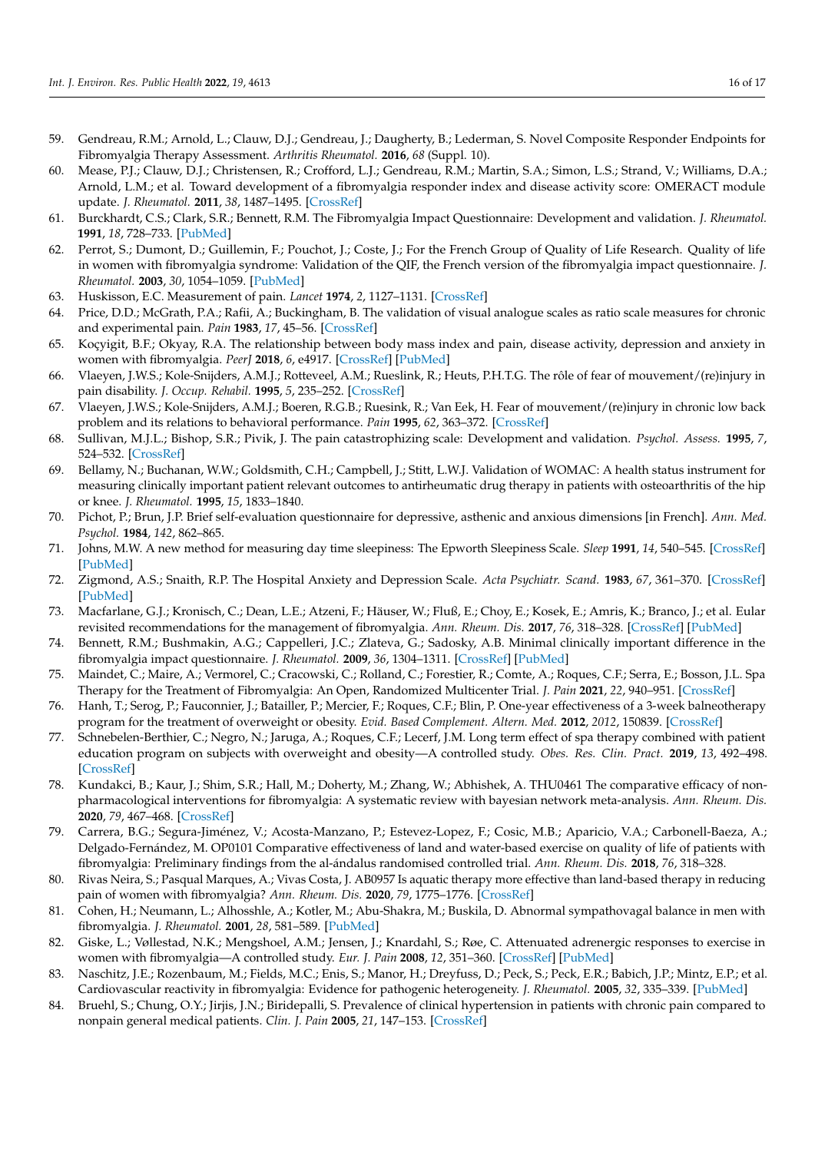- <span id="page-15-0"></span>59. Gendreau, R.M.; Arnold, L.; Clauw, D.J.; Gendreau, J.; Daugherty, B.; Lederman, S. Novel Composite Responder Endpoints for Fibromyalgia Therapy Assessment. *Arthritis Rheumatol.* **2016**, *68* (Suppl. 10).
- <span id="page-15-1"></span>60. Mease, P.J.; Clauw, D.J.; Christensen, R.; Crofford, L.J.; Gendreau, R.M.; Martin, S.A.; Simon, L.S.; Strand, V.; Williams, D.A.; Arnold, L.M.; et al. Toward development of a fibromyalgia responder index and disease activity score: OMERACT module update. *J. Rheumatol.* **2011**, *38*, 1487–1495. [\[CrossRef\]](http://doi.org/10.3899/jrheum.110277)
- <span id="page-15-2"></span>61. Burckhardt, C.S.; Clark, S.R.; Bennett, R.M. The Fibromyalgia Impact Questionnaire: Development and validation. *J. Rheumatol.* **1991**, *18*, 728–733. [\[PubMed\]](http://www.ncbi.nlm.nih.gov/pubmed/1865419)
- <span id="page-15-3"></span>62. Perrot, S.; Dumont, D.; Guillemin, F.; Pouchot, J.; Coste, J.; For the French Group of Quality of Life Research. Quality of life in women with fibromyalgia syndrome: Validation of the QIF, the French version of the fibromyalgia impact questionnaire. *J. Rheumatol.* **2003**, *30*, 1054–1059. [\[PubMed\]](http://www.ncbi.nlm.nih.gov/pubmed/12734906)
- <span id="page-15-4"></span>63. Huskisson, E.C. Measurement of pain. *Lancet* **1974**, *2*, 1127–1131. [\[CrossRef\]](http://doi.org/10.1016/S0140-6736(74)90884-8)
- <span id="page-15-5"></span>64. Price, D.D.; McGrath, P.A.; Rafii, A.; Buckingham, B. The validation of visual analogue scales as ratio scale measures for chronic and experimental pain. *Pain* **1983**, *17*, 45–56. [\[CrossRef\]](http://doi.org/10.1016/0304-3959(83)90126-4)
- <span id="page-15-6"></span>65. Koçyigit, B.F.; Okyay, R.A. The relationship between body mass index and pain, disease activity, depression and anxiety in women with fibromyalgia. *PeerJ* **2018**, *6*, e4917. [\[CrossRef\]](http://doi.org/10.7717/peerj.4917) [\[PubMed\]](http://www.ncbi.nlm.nih.gov/pubmed/29868295)
- 66. Vlaeyen, J.W.S.; Kole-Snijders, A.M.J.; Rotteveel, A.M.; Rueslink, R.; Heuts, P.H.T.G. The rôle of fear of mouvement/(re)injury in pain disability. *J. Occup. Rehabil.* **1995**, *5*, 235–252. [\[CrossRef\]](http://doi.org/10.1007/BF02109988)
- <span id="page-15-7"></span>67. Vlaeyen, J.W.S.; Kole-Snijders, A.M.J.; Boeren, R.G.B.; Ruesink, R.; Van Eek, H. Fear of mouvement/(re)injury in chronic low back problem and its relations to behavioral performance. *Pain* **1995**, *62*, 363–372. [\[CrossRef\]](http://doi.org/10.1016/0304-3959(94)00279-N)
- <span id="page-15-8"></span>68. Sullivan, M.J.L.; Bishop, S.R.; Pivik, J. The pain catastrophizing scale: Development and validation. *Psychol. Assess.* **1995**, *7*, 524–532. [\[CrossRef\]](http://doi.org/10.1037/1040-3590.7.4.524)
- <span id="page-15-9"></span>69. Bellamy, N.; Buchanan, W.W.; Goldsmith, C.H.; Campbell, J.; Stitt, L.W.J. Validation of WOMAC: A health status instrument for measuring clinically important patient relevant outcomes to antirheumatic drug therapy in patients with osteoarthritis of the hip or knee. *J. Rheumatol.* **1995**, *15*, 1833–1840.
- <span id="page-15-10"></span>70. Pichot, P.; Brun, J.P. Brief self-evaluation questionnaire for depressive, asthenic and anxious dimensions [in French]. *Ann. Med. Psychol.* **1984**, *142*, 862–865.
- <span id="page-15-11"></span>71. Johns, M.W. A new method for measuring day time sleepiness: The Epworth Sleepiness Scale. *Sleep* **1991**, *14*, 540–545. [\[CrossRef\]](http://doi.org/10.1093/sleep/14.6.540) [\[PubMed\]](http://www.ncbi.nlm.nih.gov/pubmed/1798888)
- <span id="page-15-12"></span>72. Zigmond, A.S.; Snaith, R.P. The Hospital Anxiety and Depression Scale. *Acta Psychiatr. Scand.* **1983**, *67*, 361–370. [\[CrossRef\]](http://doi.org/10.1111/j.1600-0447.1983.tb09716.x) [\[PubMed\]](http://www.ncbi.nlm.nih.gov/pubmed/6880820)
- <span id="page-15-13"></span>73. Macfarlane, G.J.; Kronisch, C.; Dean, L.E.; Atzeni, F.; Häuser, W.; Fluß, E.; Choy, E.; Kosek, E.; Amris, K.; Branco, J.; et al. Eular revisited recommendations for the management of fibromyalgia. *Ann. Rheum. Dis.* **2017**, *76*, 318–328. [\[CrossRef\]](http://doi.org/10.1136/annrheumdis-2016-209724) [\[PubMed\]](http://www.ncbi.nlm.nih.gov/pubmed/27377815)
- <span id="page-15-14"></span>74. Bennett, R.M.; Bushmakin, A.G.; Cappelleri, J.C.; Zlateva, G.; Sadosky, A.B. Minimal clinically important difference in the fibromyalgia impact questionnaire. *J. Rheumatol.* **2009**, *36*, 1304–1311. [\[CrossRef\]](http://doi.org/10.3899/jrheum.081090) [\[PubMed\]](http://www.ncbi.nlm.nih.gov/pubmed/19369473)
- <span id="page-15-15"></span>75. Maindet, C.; Maire, A.; Vermorel, C.; Cracowski, C.; Rolland, C.; Forestier, R.; Comte, A.; Roques, C.F.; Serra, E.; Bosson, J.L. Spa Therapy for the Treatment of Fibromyalgia: An Open, Randomized Multicenter Trial. *J. Pain* **2021**, *22*, 940–951. [\[CrossRef\]](http://doi.org/10.1016/j.jpain.2021.02.010)
- <span id="page-15-16"></span>76. Hanh, T.; Serog, P.; Fauconnier, J.; Batailler, P.; Mercier, F.; Roques, C.F.; Blin, P. One-year effectiveness of a 3-week balneotherapy program for the treatment of overweight or obesity. *Evid. Based Complement. Altern. Med.* **2012**, *2012*, 150839. [\[CrossRef\]](http://doi.org/10.1155/2012/150839)
- <span id="page-15-17"></span>77. Schnebelen-Berthier, C.; Negro, N.; Jaruga, A.; Roques, C.F.; Lecerf, J.M. Long term effect of spa therapy combined with patient education program on subjects with overweight and obesity—A controlled study. *Obes. Res. Clin. Pract.* **2019**, *13*, 492–498. [\[CrossRef\]](http://doi.org/10.1016/j.orcp.2019.06.005)
- <span id="page-15-18"></span>78. Kundakci, B.; Kaur, J.; Shim, S.R.; Hall, M.; Doherty, M.; Zhang, W.; Abhishek, A. THU0461 The comparative efficacy of nonpharmacological interventions for fibromyalgia: A systematic review with bayesian network meta-analysis. *Ann. Rheum. Dis.* **2020**, *79*, 467–468. [\[CrossRef\]](http://doi.org/10.1136/annrheumdis-2020-eular.803)
- <span id="page-15-19"></span>79. Carrera, B.G.; Segura-Jiménez, V.; Acosta-Manzano, P.; Estevez-Lopez, F.; Cosic, M.B.; Aparicio, V.A.; Carbonell-Baeza, A.; Delgado-Fernández, M. OP0101 Comparative effectiveness of land and water-based exercise on quality of life of patients with fibromyalgia: Preliminary findings from the al-ándalus randomised controlled trial. *Ann. Rheum. Dis.* **2018**, *76*, 318–328.
- <span id="page-15-20"></span>80. Rivas Neira, S.; Pasqual Marques, A.; Vivas Costa, J. AB0957 Is aquatic therapy more effective than land-based therapy in reducing pain of women with fibromyalgia? *Ann. Rheum. Dis.* **2020**, *79*, 1775–1776. [\[CrossRef\]](http://doi.org/10.1136/annrheumdis-2020-eular.2042)
- <span id="page-15-21"></span>81. Cohen, H.; Neumann, L.; Alhosshle, A.; Kotler, M.; Abu-Shakra, M.; Buskila, D. Abnormal sympathovagal balance in men with fibromyalgia. *J. Rheumatol.* **2001**, *28*, 581–589. [\[PubMed\]](http://www.ncbi.nlm.nih.gov/pubmed/11296963)
- 82. Giske, L.; Vøllestad, N.K.; Mengshoel, A.M.; Jensen, J.; Knardahl, S.; Røe, C. Attenuated adrenergic responses to exercise in women with fibromyalgia—A controlled study. *Eur. J. Pain* **2008**, *12*, 351–360. [\[CrossRef\]](http://doi.org/10.1016/j.ejpain.2007.07.007) [\[PubMed\]](http://www.ncbi.nlm.nih.gov/pubmed/17827042)
- <span id="page-15-22"></span>83. Naschitz, J.E.; Rozenbaum, M.; Fields, M.C.; Enis, S.; Manor, H.; Dreyfuss, D.; Peck, S.; Peck, E.R.; Babich, J.P.; Mintz, E.P.; et al. Cardiovascular reactivity in fibromyalgia: Evidence for pathogenic heterogeneity. *J. Rheumatol.* **2005**, *32*, 335–339. [\[PubMed\]](http://www.ncbi.nlm.nih.gov/pubmed/15693096)
- <span id="page-15-23"></span>84. Bruehl, S.; Chung, O.Y.; Jirjis, J.N.; Biridepalli, S. Prevalence of clinical hypertension in patients with chronic pain compared to nonpain general medical patients. *Clin. J. Pain* **2005**, *21*, 147–153. [\[CrossRef\]](http://doi.org/10.1097/00002508-200503000-00006)